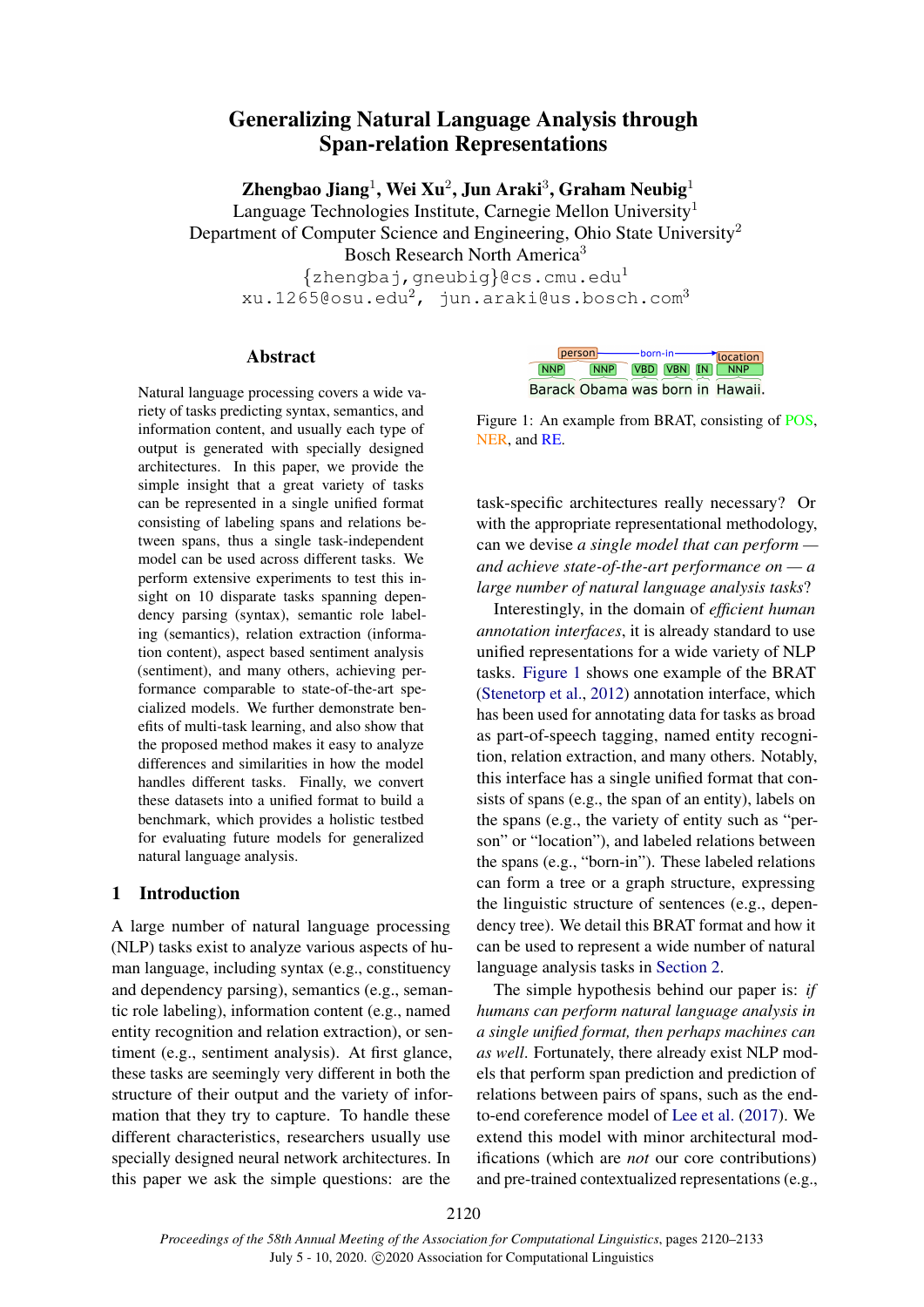# Generalizing Natural Language Analysis through Span-relation Representations

Zhengbao Jiang $^1$ , Wei Xu $^2$ , Jun Araki $^3$ , Graham Neubig $^1$ 

Language Technologies Institute, Carnegie Mellon University<sup>1</sup>

Department of Computer Science and Engineering, Ohio State University<sup>2</sup>

Bosch Research North America<sup>3</sup>

 $\{zhengba\}$ , gneubig $\}$ @cs.cmu.edu<sup>1</sup> xu.1265@osu.edu<sup>2</sup>, jun.araki@us.bosch.com<sup>3</sup>

## Abstract

Natural language processing covers a wide variety of tasks predicting syntax, semantics, and information content, and usually each type of output is generated with specially designed architectures. In this paper, we provide the simple insight that a great variety of tasks can be represented in a single unified format consisting of labeling spans and relations between spans, thus a single task-independent model can be used across different tasks. We perform extensive experiments to test this insight on 10 disparate tasks spanning dependency parsing (syntax), semantic role labeling (semantics), relation extraction (information content), aspect based sentiment analysis (sentiment), and many others, achieving performance comparable to state-of-the-art specialized models. We further demonstrate benefits of multi-task learning, and also show that the proposed method makes it easy to analyze differences and similarities in how the model handles different tasks. Finally, we convert these datasets into a unified format to build a benchmark, which provides a holistic testbed for evaluating future models for generalized natural language analysis.

## 1 Introduction

A large number of natural language processing (NLP) tasks exist to analyze various aspects of human language, including syntax (e.g., constituency and dependency parsing), semantics (e.g., semantic role labeling), information content (e.g., named entity recognition and relation extraction), or sentiment (e.g., sentiment analysis). At first glance, these tasks are seemingly very different in both the structure of their output and the variety of information that they try to capture. To handle these different characteristics, researchers usually use specially designed neural network architectures. In this paper we ask the simple questions: are the

<span id="page-0-0"></span>

|       | person- |            | —— born-in — |  | location                         |  |
|-------|---------|------------|--------------|--|----------------------------------|--|
| [NNP] |         | <b>NNP</b> |              |  | VBD VBN IN MNP                   |  |
|       |         |            |              |  | Barack Obama was born in Hawaii. |  |

Figure 1: An example from BRAT, consisting of POS, NER, and RE.

task-specific architectures really necessary? Or with the appropriate representational methodology, can we devise *a single model that can perform and achieve state-of-the-art performance on — a large number of natural language analysis tasks*?

Interestingly, in the domain of *efficient human annotation interfaces*, it is already standard to use unified representations for a wide variety of NLP tasks. [Figure 1](#page-0-0) shows one example of the BRAT [\(Stenetorp et al.,](#page-11-0) [2012\)](#page-11-0) annotation interface, which has been used for annotating data for tasks as broad as part-of-speech tagging, named entity recognition, relation extraction, and many others. Notably, this interface has a single unified format that consists of spans (e.g., the span of an entity), labels on the spans (e.g., the variety of entity such as "person" or "location"), and labeled relations between the spans (e.g., "born-in"). These labeled relations can form a tree or a graph structure, expressing the linguistic structure of sentences (e.g., dependency tree). We detail this BRAT format and how it can be used to represent a wide number of natural language analysis tasks in [Section 2.](#page-1-0)

The simple hypothesis behind our paper is: *if humans can perform natural language analysis in a single unified format, then perhaps machines can as well*. Fortunately, there already exist NLP models that perform span prediction and prediction of relations between pairs of spans, such as the endto-end coreference model of [Lee et al.](#page-9-0) [\(2017\)](#page-9-0). We extend this model with minor architectural modifications (which are *not* our core contributions) and pre-trained contextualized representations (e.g.,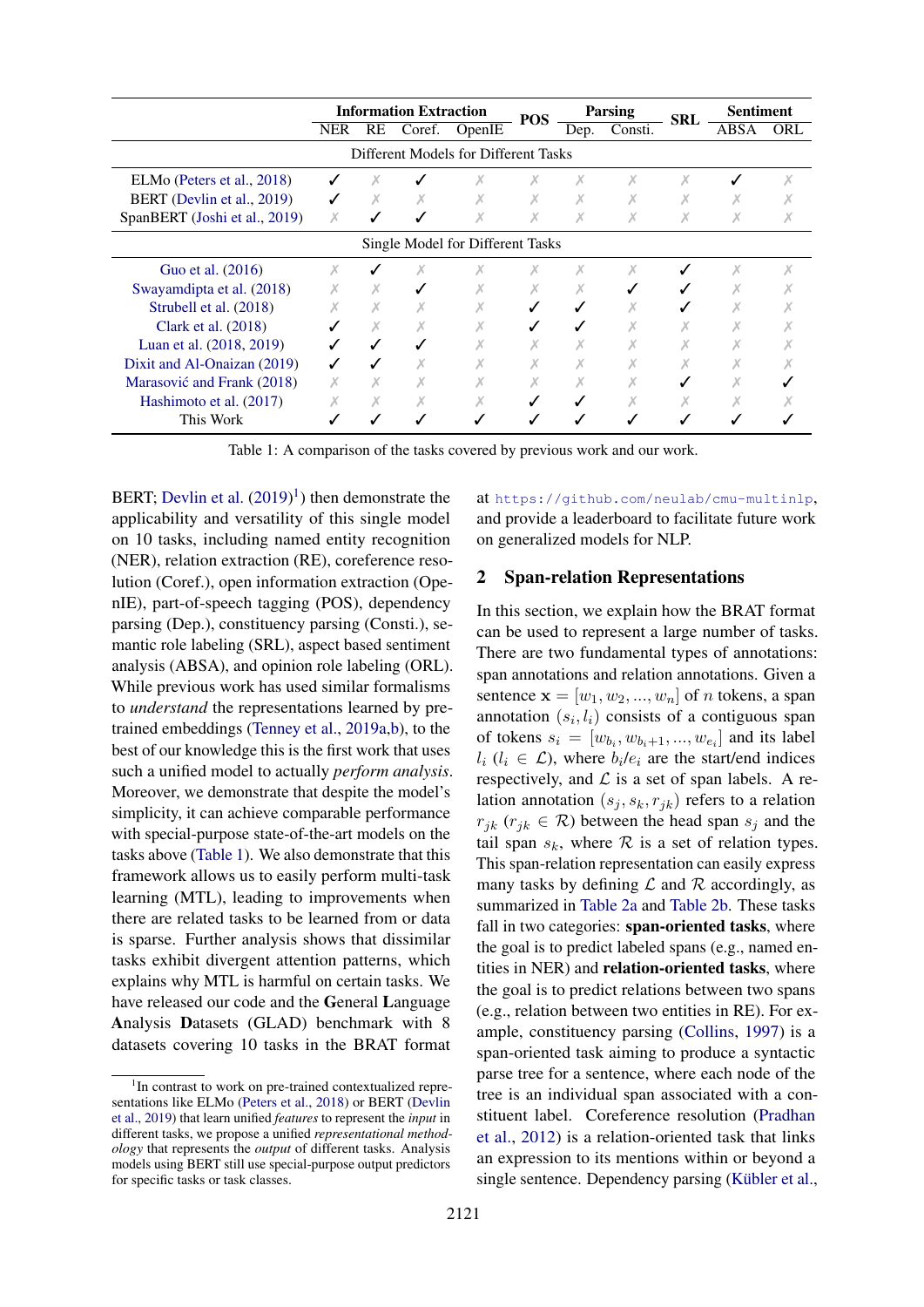<span id="page-1-2"></span>

|                               | <b>Information Extraction</b> |           |        | <b>POS</b>                           |  | <b>Parsing</b> | <b>SRL</b> | <b>Sentiment</b> |      |     |
|-------------------------------|-------------------------------|-----------|--------|--------------------------------------|--|----------------|------------|------------------|------|-----|
|                               | <b>NER</b>                    | <b>RE</b> | Coref. | OpenIE                               |  | Dep.           | Consti.    |                  | ABSA | ORL |
|                               |                               |           |        | Different Models for Different Tasks |  |                |            |                  |      |     |
| ELMo (Peters et al., 2018)    |                               | Х         |        |                                      |  | Х              | Х          | Х                |      |     |
| BERT (Devlin et al., 2019)    |                               | Х         |        |                                      |  |                |            |                  |      |     |
| SpanBERT (Joshi et al., 2019) | X                             |           |        |                                      |  | X              |            |                  |      |     |
|                               |                               |           |        | Single Model for Different Tasks     |  |                |            |                  |      |     |
| Guo et al. (2016)             | Х                             |           |        |                                      |  | x              |            |                  |      |     |
| Swayamdipta et al. (2018)     |                               |           |        |                                      |  |                |            |                  |      |     |
| Strubell et al. (2018)        |                               |           |        |                                      |  |                |            |                  |      |     |
| Clark et al. $(2018)$         |                               |           |        |                                      |  |                |            |                  |      |     |
| Luan et al. (2018, 2019)      |                               |           |        |                                      |  |                |            |                  |      |     |
| Dixit and Al-Onaizan (2019)   |                               |           |        |                                      |  |                |            |                  |      |     |
| Marasović and Frank (2018)    |                               |           |        |                                      |  |                |            |                  |      |     |
| Hashimoto et al. (2017)       |                               |           |        |                                      |  |                |            |                  |      |     |
| This Work                     |                               |           |        |                                      |  |                |            |                  |      |     |

Table 1: A comparison of the tasks covered by previous work and our work.

BERT; [Devlin et al.](#page-8-0)  $(2019)^1$  $(2019)^1$  $(2019)^1$ ) then demonstrate the applicability and versatility of this single model on 10 tasks, including named entity recognition (NER), relation extraction (RE), coreference resolution (Coref.), open information extraction (OpenIE), part-of-speech tagging (POS), dependency parsing (Dep.), constituency parsing (Consti.), semantic role labeling (SRL), aspect based sentiment analysis (ABSA), and opinion role labeling (ORL). While previous work has used similar formalisms to *understand* the representations learned by pretrained embeddings [\(Tenney et al.,](#page-11-3) [2019a,](#page-11-3)[b\)](#page-11-4), to the best of our knowledge this is the first work that uses such a unified model to actually *perform analysis*. Moreover, we demonstrate that despite the model's simplicity, it can achieve comparable performance with special-purpose state-of-the-art models on the tasks above [\(Table 1\)](#page-1-2). We also demonstrate that this framework allows us to easily perform multi-task learning (MTL), leading to improvements when there are related tasks to be learned from or data is sparse. Further analysis shows that dissimilar tasks exhibit divergent attention patterns, which explains why MTL is harmful on certain tasks. We have released our code and the General Language Analysis Datasets (GLAD) benchmark with 8 datasets covering 10 tasks in the BRAT format

at <https://github.com/neulab/cmu-multinlp>, and provide a leaderboard to facilitate future work on generalized models for NLP.

#### <span id="page-1-0"></span>2 Span-relation Representations

In this section, we explain how the BRAT format can be used to represent a large number of tasks. There are two fundamental types of annotations: span annotations and relation annotations. Given a sentence  $\mathbf{x} = [w_1, w_2, ..., w_n]$  of *n* tokens, a span annotation  $(s_i, l_i)$  consists of a contiguous span of tokens  $s_i = [w_{b_i}, w_{b_i+1}, ..., w_{e_i}]$  and its label  $l_i$  ( $l_i \in \mathcal{L}$ ), where  $b_i/e_i$  are the start/end indices respectively, and  $\mathcal L$  is a set of span labels. A relation annotation  $(s_j, s_k, r_{jk})$  refers to a relation  $r_{ik}$  ( $r_{ik} \in \mathcal{R}$ ) between the head span  $s_i$  and the tail span  $s_k$ , where  $R$  is a set of relation types. This span-relation representation can easily express many tasks by defining  $\mathcal L$  and  $\mathcal R$  accordingly, as summarized in [Table 2a](#page-2-0) and [Table 2b.](#page-2-0) These tasks fall in two categories: span-oriented tasks, where the goal is to predict labeled spans (e.g., named entities in NER) and relation-oriented tasks, where the goal is to predict relations between two spans (e.g., relation between two entities in RE). For example, constituency parsing [\(Collins,](#page-8-2) [1997\)](#page-8-2) is a span-oriented task aiming to produce a syntactic parse tree for a sentence, where each node of the tree is an individual span associated with a constituent label. Coreference resolution [\(Pradhan](#page-10-4) [et al.,](#page-10-4) [2012\)](#page-10-4) is a relation-oriented task that links an expression to its mentions within or beyond a single sentence. Dependency parsing (Kübler et al.,

<span id="page-1-1"></span><sup>&</sup>lt;sup>1</sup>In contrast to work on pre-trained contextualized representations like ELMo [\(Peters et al.,](#page-10-0) [2018\)](#page-10-0) or BERT [\(Devlin](#page-8-0) [et al.,](#page-8-0) [2019\)](#page-8-0) that learn unified *features* to represent the *input* in different tasks, we propose a unified *representational methodology* that represents the *output* of different tasks. Analysis models using BERT still use special-purpose output predictors for specific tasks or task classes.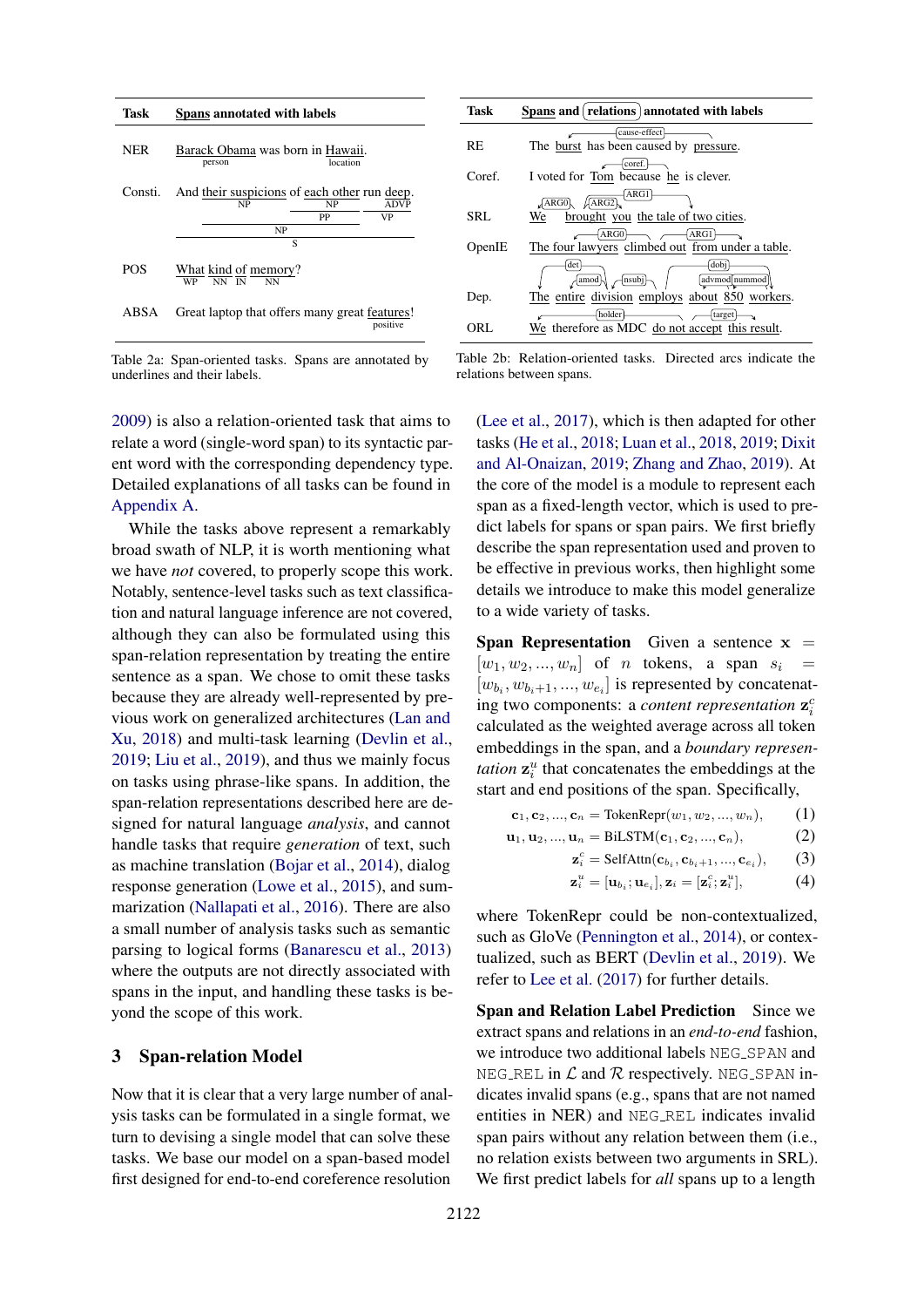<span id="page-2-0"></span>

| Task       | Spans annotated with labels                        |          |                   |  |  |  |  |  |  |
|------------|----------------------------------------------------|----------|-------------------|--|--|--|--|--|--|
| <b>NER</b> | Barack Obama was born in Hawaii.<br>person         | location |                   |  |  |  |  |  |  |
| Consti.    | And their suspicions of each other run deep.<br>NP | NP<br>PP | <b>ADVP</b><br>VP |  |  |  |  |  |  |
|            | NP<br>S                                            |          |                   |  |  |  |  |  |  |
| <b>POS</b> | What kind of memory?<br>NN IN<br><b>WP</b><br>NN   |          |                   |  |  |  |  |  |  |
| ABSA       | Great laptop that offers many great features!      |          | positive          |  |  |  |  |  |  |

Table 2a: Span-oriented tasks. Spans are annotated by underlines and their labels.

[2009\)](#page-9-5) is also a relation-oriented task that aims to relate a word (single-word span) to its syntactic parent word with the corresponding dependency type. Detailed explanations of all tasks can be found in [Appendix A.](#page-12-0)

While the tasks above represent a remarkably broad swath of NLP, it is worth mentioning what we have *not* covered, to properly scope this work. Notably, sentence-level tasks such as text classification and natural language inference are not covered, although they can also be formulated using this span-relation representation by treating the entire sentence as a span. We chose to omit these tasks because they are already well-represented by previous work on generalized architectures [\(Lan and](#page-9-6) [Xu,](#page-9-6) [2018\)](#page-9-6) and multi-task learning [\(Devlin et al.,](#page-8-0) [2019;](#page-8-0) [Liu et al.,](#page-9-7) [2019\)](#page-9-7), and thus we mainly focus on tasks using phrase-like spans. In addition, the span-relation representations described here are designed for natural language *analysis*, and cannot handle tasks that require *generation* of text, such as machine translation [\(Bojar et al.,](#page-8-3) [2014\)](#page-8-3), dialog response generation [\(Lowe et al.,](#page-10-5) [2015\)](#page-10-5), and summarization [\(Nallapati et al.,](#page-10-6) [2016\)](#page-10-6). There are also a small number of analysis tasks such as semantic parsing to logical forms [\(Banarescu et al.,](#page-8-4) [2013\)](#page-8-4) where the outputs are not directly associated with spans in the input, and handling these tasks is beyond the scope of this work.

#### <span id="page-2-3"></span>3 Span-relation Model

Now that it is clear that a very large number of analysis tasks can be formulated in a single format, we turn to devising a single model that can solve these tasks. We base our model on a span-based model first designed for end-to-end coreference resolution

| Task   | Spans and relations annotated with labels           |
|--------|-----------------------------------------------------|
|        | cause-effect                                        |
| RE.    | The burst has been caused by pressure.              |
|        | coref.                                              |
| Coref. | I voted for Tom because he is clever.               |
|        | ARG1<br>$\sqrt{\text{ARG2}}$<br>ARG0                |
| SRL.   | brought you the tale of two cities.<br>We           |
|        | ARG1<br>ARG0                                        |
| OpenIE | The four lawyers climbed out from under a table.    |
|        | dobj<br>det<br>-{nsubj}<br>advmod nummod<br>∤amod}- |
| Dep.   | The entire division employs about 850 workers.      |
|        | holder<br>target                                    |
| ORL.   | We therefore as MDC do not accept this result.      |

Table 2b: Relation-oriented tasks. Directed arcs indicate the relations between spans.

[\(Lee et al.,](#page-9-0) [2017\)](#page-9-0), which is then adapted for other tasks [\(He et al.,](#page-9-8) [2018;](#page-9-8) [Luan et al.,](#page-10-1) [2018,](#page-10-1) [2019;](#page-10-2) [Dixit](#page-9-3) [and Al-Onaizan,](#page-9-3) [2019;](#page-9-3) [Zhang and Zhao,](#page-12-1) [2019\)](#page-12-1). At the core of the model is a module to represent each span as a fixed-length vector, which is used to predict labels for spans or span pairs. We first briefly describe the span representation used and proven to be effective in previous works, then highlight some details we introduce to make this model generalize to a wide variety of tasks.

**Span Representation** Given a sentence  $x =$  $[w_1, w_2, ..., w_n]$  of *n* tokens, a span  $s_i$  =  $[w_{b_i}, w_{b_i+1}, ..., w_{e_i}]$  is represented by concatenating two components: a *content representation*  $\mathbf{z}_i^c$ calculated as the weighted average across all token embeddings in the span, and a *boundary representation*  $z_i^u$  that concatenates the embeddings at the start and end positions of the span. Specifically,

$$
c_1, c_2, ..., c_n = \text{TokenRepr}(w_1, w_2, ..., w_n), \quad (1)
$$

$$
\mathbf{u}_1, \mathbf{u}_2, ..., \mathbf{u}_n = \text{BiLSTM}(\mathbf{c}_1, \mathbf{c}_2, ..., \mathbf{c}_n),
$$
 (2)

$$
\mathbf{z}_{i}^{c} = \text{SelfAttn}(\mathbf{c}_{b_{i}}, \mathbf{c}_{b_{i}+1}, ..., \mathbf{c}_{e_{i}}),
$$
 (3)

<span id="page-2-2"></span><span id="page-2-1"></span>
$$
\mathbf{z}_i^u = [\mathbf{u}_{b_i}; \mathbf{u}_{e_i}], \mathbf{z}_i = [\mathbf{z}_i^c; \mathbf{z}_i^u], \tag{4}
$$

where TokenRepr could be non-contextualized, such as GloVe [\(Pennington et al.,](#page-10-7) [2014\)](#page-10-7), or contextualized, such as BERT [\(Devlin et al.,](#page-8-0) [2019\)](#page-8-0). We refer to [Lee et al.](#page-9-0) [\(2017\)](#page-9-0) for further details.

z

Span and Relation Label Prediction Since we extract spans and relations in an *end-to-end* fashion, we introduce two additional labels NEG\_SPAN and NEG\_REL in  $\mathcal L$  and  $\mathcal R$  respectively. NEG\_SPAN indicates invalid spans (e.g., spans that are not named entities in NER) and NEG REL indicates invalid span pairs without any relation between them (i.e., no relation exists between two arguments in SRL). We first predict labels for *all* spans up to a length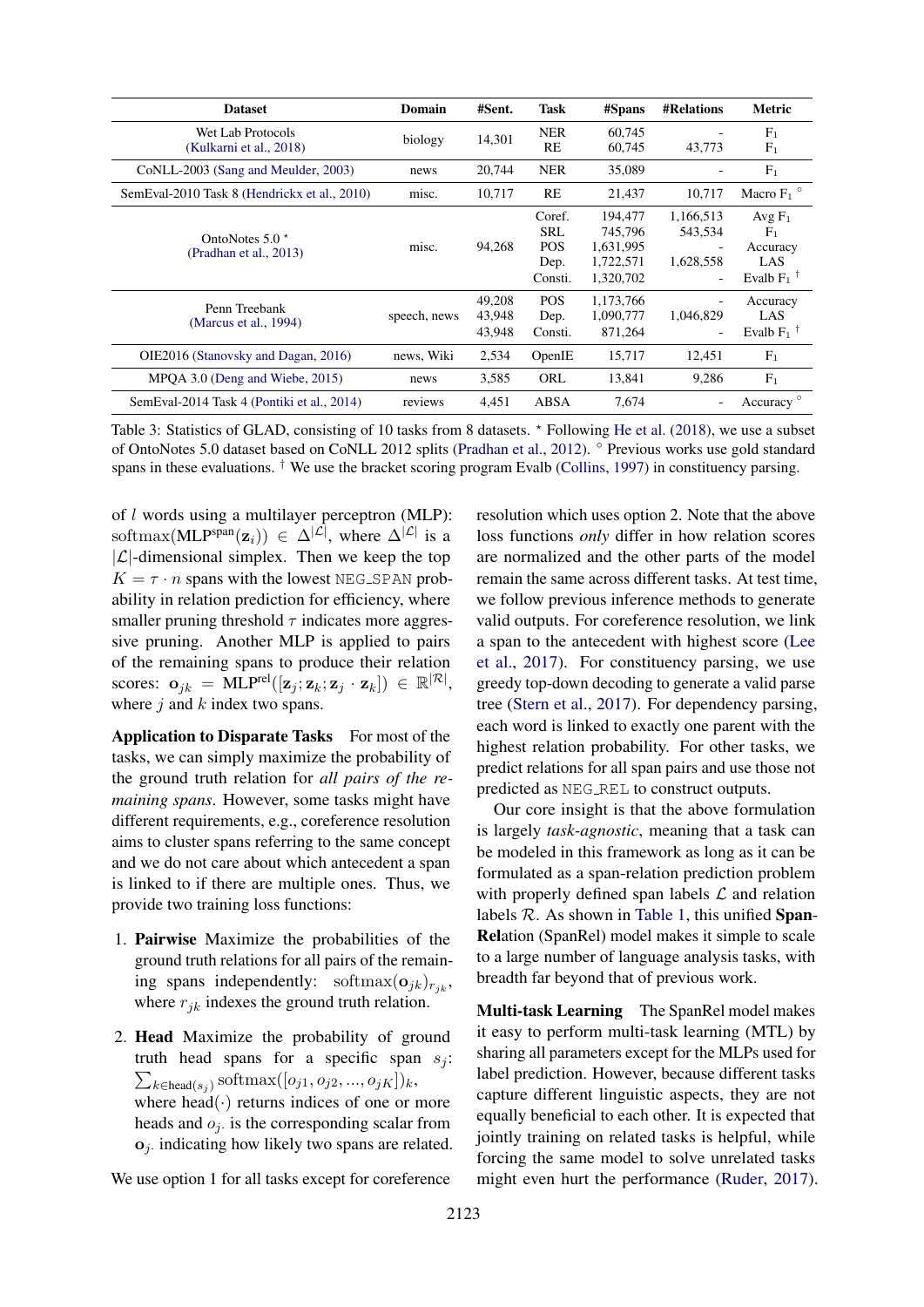<span id="page-3-0"></span>

| <b>Dataset</b>                                  | Domain       | #Sent.                     | Task                                                  | #Spans                                                    | <b>#Relations</b>                     | Metric                                                                     |
|-------------------------------------------------|--------------|----------------------------|-------------------------------------------------------|-----------------------------------------------------------|---------------------------------------|----------------------------------------------------------------------------|
| Wet Lab Protocols<br>(Kulkarni et al., 2018)    | biology      | 14,301                     | <b>NER</b><br>RE                                      | 60,745<br>60.745                                          | 43,773                                | F <sub>1</sub><br>F <sub>1</sub>                                           |
| CoNLL-2003 (Sang and Meulder, 2003)             | news         | 20,744                     | <b>NER</b>                                            | 35,089                                                    |                                       | $F_1$                                                                      |
| SemEval-2010 Task 8 (Hendrickx et al., 2010)    | misc.        | 10,717                     | RE                                                    | 21,437                                                    | 10.717                                | Macro $F_1$ <sup>o</sup>                                                   |
| OntoNotes $5.0 \star$<br>(Pradhan et al., 2013) | misc.        | 94.268                     | Coref.<br><b>SRL</b><br><b>POS</b><br>Dep.<br>Consti. | 194,477<br>745.796<br>1,631,995<br>1,722,571<br>1,320,702 | 1,166,513<br>543.534<br>1,628,558     | Avg $F_1$<br>F <sub>1</sub><br>Accuracy<br>LAS<br>Evalb $F_1$ <sup>†</sup> |
| Penn Treebank<br>(Marcus et al., 1994)          | speech, news | 49.208<br>43,948<br>43,948 | <b>POS</b><br>Dep.<br>Consti.                         | 1,173,766<br>1,090,777<br>871,264                         | 1,046,829<br>$\overline{\phantom{a}}$ | Accuracy<br>LAS<br>Evalb $F_1$ <sup>T</sup>                                |
| OIE2016 (Stanovsky and Dagan, 2016)             | news, Wiki   | 2,534                      | OpenIE                                                | 15,717                                                    | 12,451                                | F <sub>1</sub>                                                             |
| MPOA 3.0 (Deng and Wiebe, 2015)                 | news         | 3,585                      | ORL                                                   | 13,841                                                    | 9,286                                 | F <sub>1</sub>                                                             |
| SemEval-2014 Task 4 (Pontiki et al., 2014)      | reviews      | 4.451                      | ABSA                                                  | 7.674                                                     |                                       | Accuracy <sup>o</sup>                                                      |

Table 3: Statistics of GLAD, consisting of 10 tasks from 8 datasets.  $*$  Following [He et al.](#page-9-8) [\(2018\)](#page-9-8), we use a subset of OntoNotes 5.0 dataset based on CoNLL 2012 splits [\(Pradhan et al.,](#page-10-4) [2012\)](#page-10-4). ◦ Previous works use gold standard spans in these evaluations.  $\dagger$  We use the bracket scoring program Evalb [\(Collins,](#page-8-2) [1997\)](#page-8-2) in constituency parsing.

of l words using a multilayer perceptron (MLP): softmax(MLP<sup>span</sup>( $z_i$ )) ∈  $\Delta^{|\mathcal{L}|}$ , where  $\Delta^{|\mathcal{L}|}$  is a  $|\mathcal{L}|$ -dimensional simplex. Then we keep the top  $K = \tau \cdot n$  spans with the lowest NEG\_SPAN probability in relation prediction for efficiency, where smaller pruning threshold  $\tau$  indicates more aggressive pruning. Another MLP is applied to pairs of the remaining spans to produce their relation scores:  $\mathbf{o}_{jk} = \text{MLP}^{\text{rel}}([\mathbf{z}_j; \mathbf{z}_k; \mathbf{z}_j \cdot \mathbf{z}_k]) \in \mathbb{R}^{|\mathcal{R}|},$ where  $j$  and  $k$  index two spans.

Application to Disparate Tasks For most of the tasks, we can simply maximize the probability of the ground truth relation for *all pairs of the remaining spans*. However, some tasks might have different requirements, e.g., coreference resolution aims to cluster spans referring to the same concept and we do not care about which antecedent a span is linked to if there are multiple ones. Thus, we provide two training loss functions:

- 1. Pairwise Maximize the probabilities of the ground truth relations for all pairs of the remaining spans independently: softmax $(o_{jk})_{r_{jk}}$ , where  $r_{jk}$  indexes the ground truth relation.
- 2. Head Maximize the probability of ground truth head spans for a specific span  $s_j$ :  $\sum_{k \in \text{head}(s_j)} \text{softmax}([o_{j1}, o_{j2}, ..., o_{jK}])_k,$ where  $head(\cdot)$  returns indices of one or more heads and  $o_j$  is the corresponding scalar from  $o_j$ . indicating how likely two spans are related.

We use option 1 for all tasks except for coreference

resolution which uses option 2. Note that the above loss functions *only* differ in how relation scores are normalized and the other parts of the model remain the same across different tasks. At test time, we follow previous inference methods to generate valid outputs. For coreference resolution, we link a span to the antecedent with highest score [\(Lee](#page-9-0) [et al.,](#page-9-0) [2017\)](#page-9-0). For constituency parsing, we use greedy top-down decoding to generate a valid parse tree [\(Stern et al.,](#page-11-7) [2017\)](#page-11-7). For dependency parsing, each word is linked to exactly one parent with the highest relation probability. For other tasks, we predict relations for all span pairs and use those not predicted as NEG REL to construct outputs.

Our core insight is that the above formulation is largely *task-agnostic*, meaning that a task can be modeled in this framework as long as it can be formulated as a span-relation prediction problem with properly defined span labels  $\mathcal L$  and relation labels  $R$ . As shown in [Table 1,](#page-1-2) this unified Span-Relation (SpanRel) model makes it simple to scale to a large number of language analysis tasks, with breadth far beyond that of previous work.

Multi-task Learning The SpanRel model makes it easy to perform multi-task learning (MTL) by sharing all parameters except for the MLPs used for label prediction. However, because different tasks capture different linguistic aspects, they are not equally beneficial to each other. It is expected that jointly training on related tasks is helpful, while forcing the same model to solve unrelated tasks might even hurt the performance [\(Ruder,](#page-11-8) [2017\)](#page-11-8).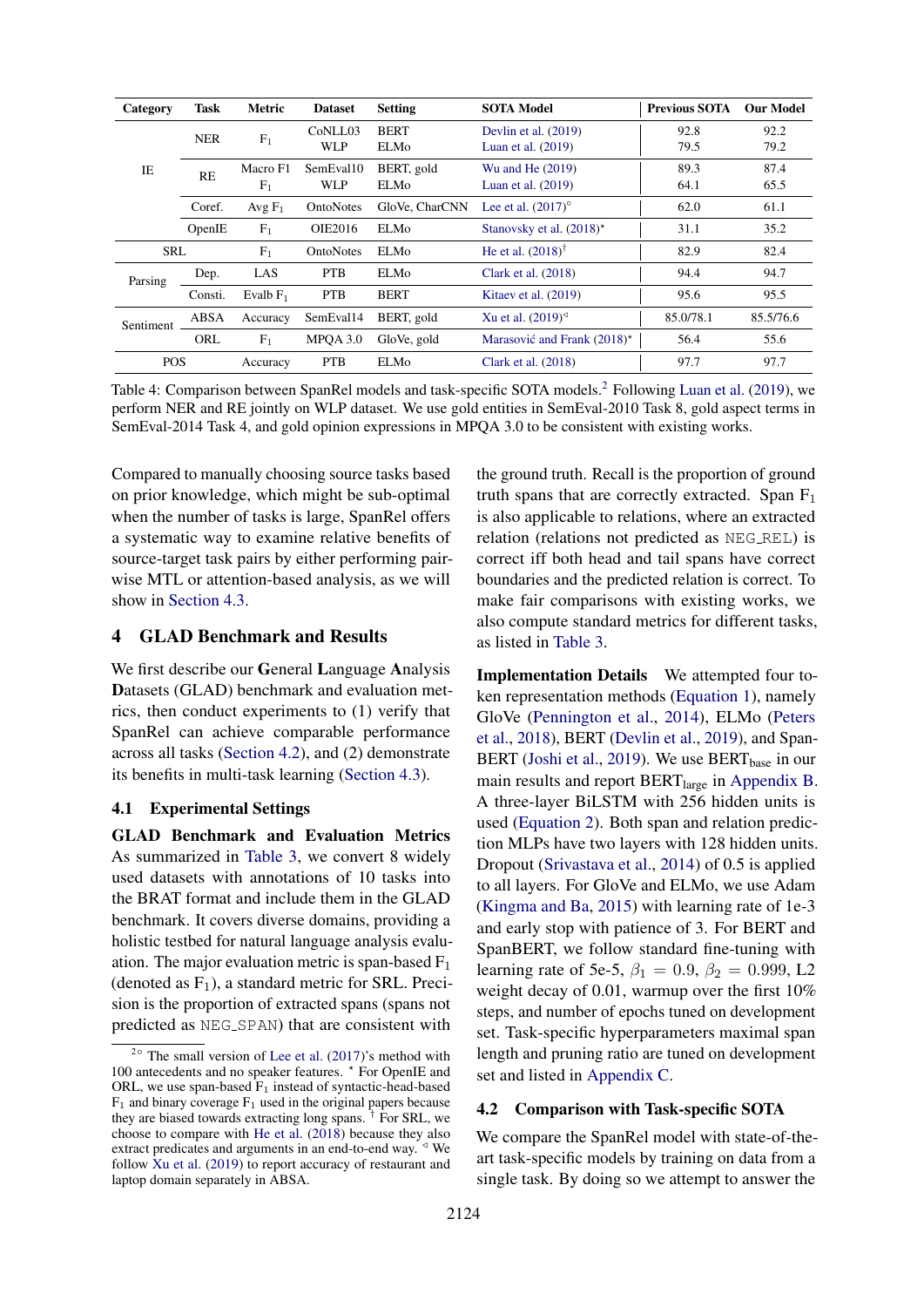<span id="page-4-2"></span>

| Category   | Task                                               | <b>Metric</b>             | <b>Dataset</b>          | <b>Setting</b>      | <b>SOTA Model</b>                            | <b>Previous SOTA</b> | <b>Our Model</b> |
|------------|----------------------------------------------------|---------------------------|-------------------------|---------------------|----------------------------------------------|----------------------|------------------|
|            | <b>NER</b>                                         | $F_1$                     | CoNLL03<br><b>WLP</b>   | <b>BERT</b><br>ELMo | Devlin et al. $(2019)$<br>Luan et al. (2019) | 92.8<br>79.5         | 92.2<br>79.2     |
| IE         | RE                                                 | Macro F1<br>$F_1$         | SemEval10<br><b>WLP</b> | BERT, gold<br>ELMo  | Wu and He (2019)<br>Luan et al. $(2019)$     | 89.3<br>64.1         | 87.4<br>65.5     |
|            | GloVe, CharCNN<br>Avg $F_1$<br>OntoNotes<br>Coref. | Lee et al. $(2017)^\circ$ | 62.0                    | 61.1                |                                              |                      |                  |
|            | OpenIE                                             | $F_1$                     | <b>OIE2016</b>          | ELMo                | Stanovsky et al. $(2018)^*$                  | 31.1                 | 35.2             |
| <b>SRL</b> |                                                    | F <sub>1</sub>            | OntoNotes               | ELMo                | He et al. $(2018)^{\dagger}$                 | 82.9                 | 82.4             |
| Parsing    | Dep.                                               | LAS                       | <b>PTB</b>              | ELMo                | Clark et al. $(2018)$                        | 94.4                 | 94.7             |
|            | Consti.                                            | Evalb $F_1$               | <b>PTB</b>              | <b>BERT</b>         | Kitaev et al. (2019)                         | 95.6                 | 95.5             |
| Sentiment  | ABSA                                               | Accuracy                  | SemEval14               | BERT, gold          | Xu et al. $(2019)^{4}$                       | 85.0/78.1            | 85.5/76.6        |
|            | ORL                                                | F <sub>1</sub>            | MPOA 3.0                | GloVe, gold         | Marasović and Frank $(2018)^*$               | 56.4                 | 55.6             |
| <b>POS</b> |                                                    | Accuracy                  | <b>PTB</b>              | <b>ELMo</b>         | Clark et al. $(2018)$                        | 97.7                 | 97.7             |

Table 4: Comparison between SpanRel models and task-specific SOTA models.[2](#page-4-0) Following [Luan et al.](#page-10-2) [\(2019\)](#page-10-2), we perform NER and RE jointly on WLP dataset. We use gold entities in SemEval-2010 Task 8, gold aspect terms in SemEval-2014 Task 4, and gold opinion expressions in MPQA 3.0 to be consistent with existing works.

Compared to manually choosing source tasks based on prior knowledge, which might be sub-optimal when the number of tasks is large, SpanRel offers a systematic way to examine relative benefits of source-target task pairs by either performing pairwise MTL or attention-based analysis, as we will show in [Section 4.3.](#page-5-0)

## 4 GLAD Benchmark and Results

We first describe our General Language Analysis Datasets (GLAD) benchmark and evaluation metrics, then conduct experiments to (1) verify that SpanRel can achieve comparable performance across all tasks [\(Section 4.2\)](#page-4-1), and (2) demonstrate its benefits in multi-task learning [\(Section 4.3\)](#page-5-0).

#### 4.1 Experimental Settings

GLAD Benchmark and Evaluation Metrics As summarized in [Table 3,](#page-3-0) we convert 8 widely used datasets with annotations of 10 tasks into the BRAT format and include them in the GLAD benchmark. It covers diverse domains, providing a holistic testbed for natural language analysis evaluation. The major evaluation metric is span-based  $F_1$ (denoted as  $F_1$ ), a standard metric for SRL. Precision is the proportion of extracted spans (spans not predicted as NEG SPAN) that are consistent with

the ground truth. Recall is the proportion of ground truth spans that are correctly extracted. Span  $F_1$ is also applicable to relations, where an extracted relation (relations not predicted as NEG REL) is correct iff both head and tail spans have correct boundaries and the predicted relation is correct. To make fair comparisons with existing works, we also compute standard metrics for different tasks, as listed in [Table 3.](#page-3-0)

Implementation Details We attempted four token representation methods [\(Equation 1\)](#page-2-1), namely GloVe [\(Pennington et al.,](#page-10-7) [2014\)](#page-10-7), ELMo [\(Peters](#page-10-0) [et al.,](#page-10-0) [2018\)](#page-10-0), BERT [\(Devlin et al.,](#page-8-0) [2019\)](#page-8-0), and Span-BERT [\(Joshi et al.,](#page-9-1) [2019\)](#page-9-1). We use  $BERT_{base}$  in our main results and report BERT<sub>large</sub> in [Appendix B.](#page-12-3) A three-layer BiLSTM with 256 hidden units is used [\(Equation 2\)](#page-2-2). Both span and relation prediction MLPs have two layers with 128 hidden units. Dropout [\(Srivastava et al.,](#page-11-11) [2014\)](#page-11-11) of 0.5 is applied to all layers. For GloVe and ELMo, we use Adam [\(Kingma and Ba,](#page-9-12) [2015\)](#page-9-12) with learning rate of 1e-3 and early stop with patience of 3. For BERT and SpanBERT, we follow standard fine-tuning with learning rate of 5e-5,  $\beta_1 = 0.9$ ,  $\beta_2 = 0.999$ , L2 weight decay of 0.01, warmup over the first 10% steps, and number of epochs tuned on development set. Task-specific hyperparameters maximal span length and pruning ratio are tuned on development set and listed in [Appendix C.](#page-12-4)

#### <span id="page-4-1"></span>4.2 Comparison with Task-specific SOTA

We compare the SpanRel model with state-of-theart task-specific models by training on data from a single task. By doing so we attempt to answer the

<span id="page-4-0"></span> $2°$  The small version of [Lee et al.](#page-9-0) [\(2017\)](#page-9-0)'s method with 100 antecedents and no speaker features.  $*$  For OpenIE and ORL, we use span-based  $F_1$  instead of syntactic-head-based  $F_1$  and binary coverage  $F_1$  used in the original papers because they are biased towards extracting long spans. † For SRL, we choose to compare with [He et al.](#page-9-8) [\(2018\)](#page-9-8) because they also extract predicates and arguments in an end-to-end way.  $\triangleleft$  We follow [Xu et al.](#page-12-2) [\(2019\)](#page-12-2) to report accuracy of restaurant and laptop domain separately in ABSA.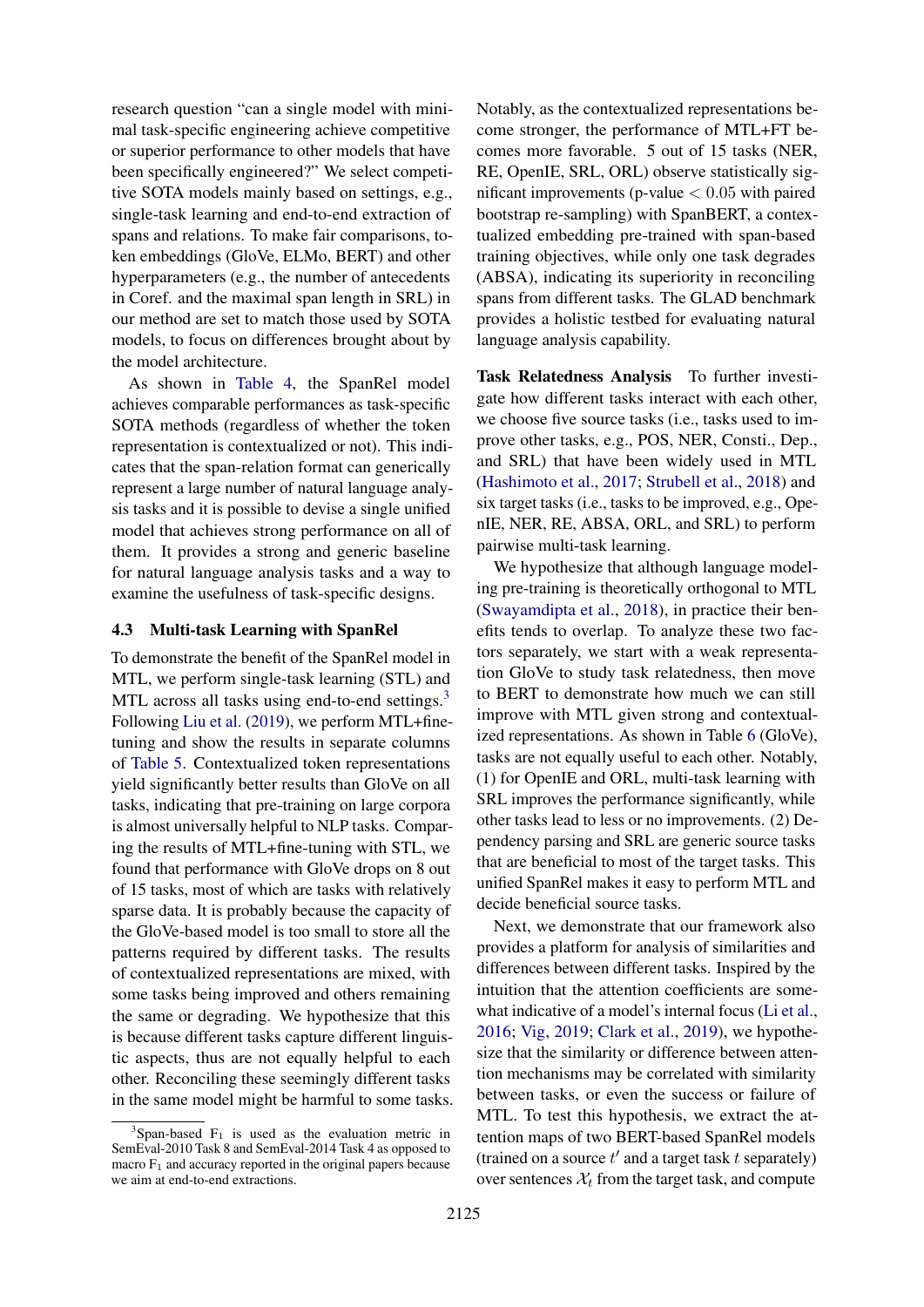research question "can a single model with minimal task-specific engineering achieve competitive or superior performance to other models that have been specifically engineered?" We select competitive SOTA models mainly based on settings, e.g., single-task learning and end-to-end extraction of spans and relations. To make fair comparisons, token embeddings (GloVe, ELMo, BERT) and other hyperparameters (e.g., the number of antecedents in Coref. and the maximal span length in SRL) in our method are set to match those used by SOTA models, to focus on differences brought about by the model architecture.

As shown in [Table 4,](#page-4-2) the SpanRel model achieves comparable performances as task-specific SOTA methods (regardless of whether the token representation is contextualized or not). This indicates that the span-relation format can generically represent a large number of natural language analysis tasks and it is possible to devise a single unified model that achieves strong performance on all of them. It provides a strong and generic baseline for natural language analysis tasks and a way to examine the usefulness of task-specific designs.

#### <span id="page-5-0"></span>4.3 Multi-task Learning with SpanRel

To demonstrate the benefit of the SpanRel model in MTL, we perform single-task learning (STL) and MTL across all tasks using end-to-end settings.<sup>[3](#page-5-1)</sup> Following [Liu et al.](#page-9-7) [\(2019\)](#page-9-7), we perform MTL+finetuning and show the results in separate columns of [Table 5.](#page-6-0) Contextualized token representations yield significantly better results than GloVe on all tasks, indicating that pre-training on large corpora is almost universally helpful to NLP tasks. Comparing the results of MTL+fine-tuning with STL, we found that performance with GloVe drops on 8 out of 15 tasks, most of which are tasks with relatively sparse data. It is probably because the capacity of the GloVe-based model is too small to store all the patterns required by different tasks. The results of contextualized representations are mixed, with some tasks being improved and others remaining the same or degrading. We hypothesize that this is because different tasks capture different linguistic aspects, thus are not equally helpful to each other. Reconciling these seemingly different tasks in the same model might be harmful to some tasks.

Notably, as the contextualized representations become stronger, the performance of MTL+FT becomes more favorable. 5 out of 15 tasks (NER, RE, OpenIE, SRL, ORL) observe statistically significant improvements (p-value  $< 0.05$  with paired bootstrap re-sampling) with SpanBERT, a contextualized embedding pre-trained with span-based training objectives, while only one task degrades (ABSA), indicating its superiority in reconciling spans from different tasks. The GLAD benchmark provides a holistic testbed for evaluating natural language analysis capability.

Task Relatedness Analysis To further investigate how different tasks interact with each other, we choose five source tasks (i.e., tasks used to improve other tasks, e.g., POS, NER, Consti., Dep., and SRL) that have been widely used in MTL [\(Hashimoto et al.,](#page-9-4) [2017;](#page-9-4) [Strubell et al.,](#page-11-2) [2018\)](#page-11-2) and six target tasks (i.e., tasks to be improved, e.g., OpenIE, NER, RE, ABSA, ORL, and SRL) to perform pairwise multi-task learning.

We hypothesize that although language modeling pre-training is theoretically orthogonal to MTL [\(Swayamdipta et al.,](#page-11-1) [2018\)](#page-11-1), in practice their benefits tends to overlap. To analyze these two factors separately, we start with a weak representation GloVe to study task relatedness, then move to BERT to demonstrate how much we can still improve with MTL given strong and contextualized representations. As shown in Table [6](#page-7-0) (GloVe), tasks are not equally useful to each other. Notably, (1) for OpenIE and ORL, multi-task learning with SRL improves the performance significantly, while other tasks lead to less or no improvements. (2) Dependency parsing and SRL are generic source tasks that are beneficial to most of the target tasks. This unified SpanRel makes it easy to perform MTL and decide beneficial source tasks.

Next, we demonstrate that our framework also provides a platform for analysis of similarities and differences between different tasks. Inspired by the intuition that the attention coefficients are somewhat indicative of a model's internal focus [\(Li et al.,](#page-9-13) [2016;](#page-9-13) [Vig,](#page-11-12) [2019;](#page-11-12) [Clark et al.,](#page-8-6) [2019\)](#page-8-6), we hypothesize that the similarity or difference between attention mechanisms may be correlated with similarity between tasks, or even the success or failure of MTL. To test this hypothesis, we extract the attention maps of two BERT-based SpanRel models (trained on a source  $t'$  and a target task  $t$  separately) over sentences  $X_t$  from the target task, and compute

<span id="page-5-1"></span> $3$ Span-based  $F_1$  is used as the evaluation metric in SemEval-2010 Task 8 and SemEval-2014 Task 4 as opposed to macro  $F_1$  and accuracy reported in the original papers because we aim at end-to-end extractions.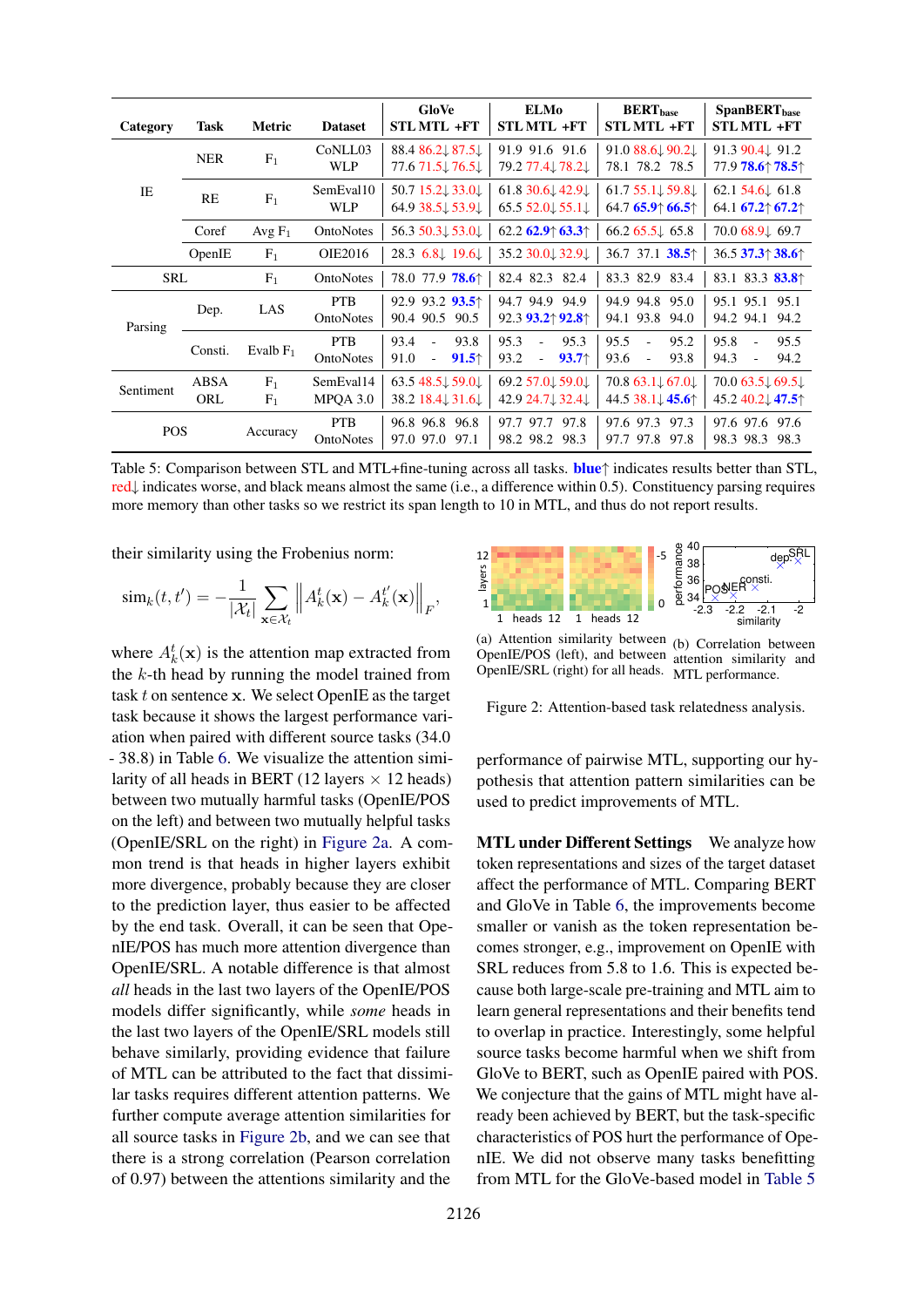<span id="page-6-0"></span>

| Category   | Task        | Metric                           | <b>Dataset</b>                 | GloVe<br><b>STLMTL +FT</b>                                                         | <b>ELMo</b><br><b>STL MTL +FT</b>                                    | $BERT_{base}$<br><b>STL MTL +FT</b>                                         | SpanBERT <sub>base</sub><br><b>STLMTL +FT</b>                      |
|------------|-------------|----------------------------------|--------------------------------|------------------------------------------------------------------------------------|----------------------------------------------------------------------|-----------------------------------------------------------------------------|--------------------------------------------------------------------|
|            | <b>NER</b>  | $F_1$                            | CoNLL03<br><b>WLP</b>          | 88.4 $86.2 \downarrow 87.5 \downarrow$<br>77.6 71.5 $\downarrow$ 76.5 $\downarrow$ | 91.9 91.6 91.6<br>79.2 77.4↓78.2↓                                    | 91.0 88.6 90.2<br>78.1 78.2 78.5                                            | 91.3 90.4 91.2<br>77.9 78.6† 78.5†                                 |
| <b>IE</b>  | RE          | F <sub>1</sub>                   | SemEval10<br><b>WLP</b>        | 50.7 15.2↓ 33.0↓<br>64.9 38.5↓ 53.9↓                                               | $61.8$ 30.6 $42.9$<br>65.5 $52.0 \downarrow 55.1 \downarrow$         | $61.755.1\downarrow 59.8\downarrow$<br>64.7 65.9 $\uparrow$ 66.5 $\uparrow$ | 62.1 $54.6\downarrow$ 61.8<br>64.1 67.2 $\uparrow$ 67.2 $\uparrow$ |
|            | Coref       | Avg $F_1$                        | <b>OntoNotes</b>               | 56.3 50.3 $\downarrow$ 53.0 $\downarrow$                                           | 62.2 62.9 $\uparrow$ 63.3 $\uparrow$                                 | $66.265.5\downarrow 65.8$                                                   | 70.068.9169.7                                                      |
|            | OpenIE      | $F_1$                            | OIE2016                        | 28.3 $6.8\downarrow$ 19.6                                                          | 35.230.0132.9                                                        | 36.7 37.1 38.5                                                              | 36.5 37.3 <sup><math>\dagger</math></sup> 38.6 $\dagger$           |
| <b>SRL</b> |             | $F_1$                            | OntoNotes                      | 78.0 77.9 <b>78.6</b> <sup>+</sup>                                                 | 82.4 82.3 82.4                                                       | 83.3 82.9 83.4                                                              | 83.1 83.3 <b>83.8</b> <sup><math>\dagger</math></sup>              |
| Parsing    | Dep.        | LAS                              | <b>PTB</b><br>OntoNotes        | 92.9 93.2 $93.5$ <sup>+</sup><br>90.4 90.5<br>90.5                                 | 94.7 94.9 94.9<br>$92.3$ 93.2 $\uparrow$ 92.8 $\uparrow$             | 94.9 94.8 95.0<br>94.1 93.8 94.0                                            | 95.1 95.1 95.1<br>94.2 94.1 94.2                                   |
|            | Consti.     | Evalb $F_1$                      | <b>PTB</b><br><b>OntoNotes</b> | 93.4<br>93.8<br>$\omega$<br>91.0<br>91.5<br>÷,                                     | 95.3<br>95.3<br>$\omega$<br>93.2<br>93.7<br>$\overline{\phantom{a}}$ | 95.5<br>95.2<br>÷.<br>93.6<br>93.8<br>$\blacksquare$                        | 95.8<br>95.5<br>$\sim$<br>94.3<br>94.2                             |
| Sentiment  | ABSA<br>ORL | F <sub>1</sub><br>F <sub>1</sub> | SemEval14<br>MPOA 3.0          | 63.5 48.5 $\downarrow$ 59.0 $\downarrow$<br>38.2 $18.4 \downarrow 31.6 \downarrow$ | 69.257.0159.01<br>42.9 24.7 32.4                                     | $70.863.1\downarrow 67.0\downarrow$<br>44.5 38.1 45.6 <sup>1</sup>          | $70.063.5\downarrow 69.5\downarrow$<br>45.2 40.2 47.5 <sup>↑</sup> |
| <b>POS</b> |             | Accuracy                         | <b>PTB</b><br><b>OntoNotes</b> | 96.8 96.8 96.8<br>97.0 97.0<br>97.1                                                | 97.7 97.7 97.8<br>98.2 98.2 98.3                                     | 97.6 97.3 97.3<br>97.7 97.8 97.8                                            | 97.6 97.6 97.6<br>98.3 98.3 98.3                                   |

Table 5: Comparison between STL and MTL+fine-tuning across all tasks. **blue**↑ indicates results better than STL, red↓ indicates worse, and black means almost the same (i.e., a difference within 0.5). Constituency parsing requires more memory than other tasks so we restrict its span length to 10 in MTL, and thus do not report results.

their similarity using the Frobenius norm:

$$
\operatorname{sim}_k(t,t') = -\frac{1}{|\mathcal{X}_t|} \sum_{\mathbf{x} \in \mathcal{X}_t} \left\| A_k^t(\mathbf{x}) - A_k^{t'}(\mathbf{x}) \right\|_F,
$$

where  $A_k^t(\mathbf{x})$  is the attention map extracted from the  $k$ -th head by running the model trained from task t on sentence x. We select OpenIE as the target task because it shows the largest performance variation when paired with different source tasks (34.0 - 38.8) in Table [6.](#page-7-0) We visualize the attention similarity of all heads in BERT (12 layers  $\times$  12 heads) between two mutually harmful tasks (OpenIE/POS on the left) and between two mutually helpful tasks (OpenIE/SRL on the right) in [Figure 2a.](#page-6-1) A common trend is that heads in higher layers exhibit more divergence, probably because they are closer to the prediction layer, thus easier to be affected by the end task. Overall, it can be seen that OpenIE/POS has much more attention divergence than OpenIE/SRL. A notable difference is that almost *all* heads in the last two layers of the OpenIE/POS models differ significantly, while *some* heads in the last two layers of the OpenIE/SRL models still behave similarly, providing evidence that failure of MTL can be attributed to the fact that dissimilar tasks requires different attention patterns. We further compute average attention similarities for all source tasks in [Figure 2b,](#page-6-1) and we can see that there is a strong correlation (Pearson correlation of 0.97) between the attentions similarity and the

<span id="page-6-1"></span>

(a) Attention similarity between (b) Correlation between OpenIE/POS (left), and between attention similarity and OpenIE/SRL (right) for all heads. MTL performance.

Figure 2: Attention-based task relatedness analysis.

performance of pairwise MTL, supporting our hypothesis that attention pattern similarities can be used to predict improvements of MTL.

**MTL under Different Settings** We analyze how token representations and sizes of the target dataset affect the performance of MTL. Comparing BERT and GloVe in Table [6,](#page-7-0) the improvements become smaller or vanish as the token representation becomes stronger, e.g., improvement on OpenIE with SRL reduces from 5.8 to 1.6. This is expected because both large-scale pre-training and MTL aim to learn general representations and their benefits tend to overlap in practice. Interestingly, some helpful source tasks become harmful when we shift from GloVe to BERT, such as OpenIE paired with POS. We conjecture that the gains of MTL might have already been achieved by BERT, but the task-specific characteristics of POS hurt the performance of OpenIE. We did not observe many tasks benefitting from MTL for the GloVe-based model in [Table 5](#page-6-0)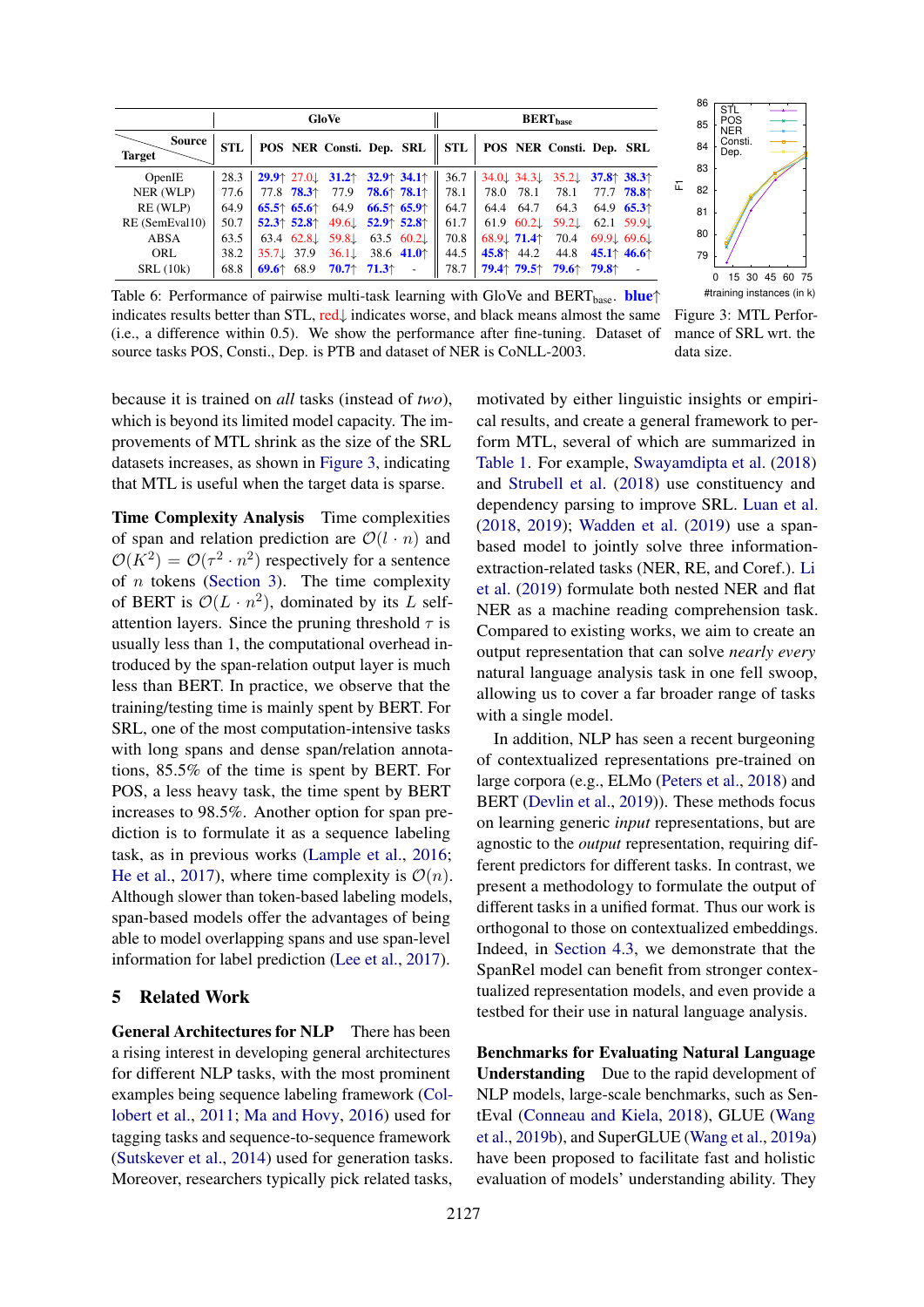<span id="page-7-0"></span>

|                                |            |                        |                                            | GloVe                                              |  | <b>BERT</b> <sub>base</sub> |  |                      |                                                                                       |  |                                                       |
|--------------------------------|------------|------------------------|--------------------------------------------|----------------------------------------------------|--|-----------------------------|--|----------------------|---------------------------------------------------------------------------------------|--|-------------------------------------------------------|
| <b>Source</b><br><b>Target</b> | <b>STL</b> |                        |                                            | POS NER Consti. Dep. SRL                           |  |                             |  |                      | STL   POS NER Consti. Dep. SRL                                                        |  |                                                       |
| OpenIE                         | 28.3       |                        |                                            | 29.9 $27.0$ 31.2 $32.9$ 34.1                       |  | 36.7                        |  |                      | 34.0 $\downarrow$ 34.3 $\downarrow$ 35.2 $\downarrow$ 37.8 $\uparrow$ 38.3 $\uparrow$ |  |                                                       |
| NER (WLP)                      | 77.6       |                        |                                            | 77.8 <b>78.3</b> 77.9 <b>78.6</b> 78.1             |  | 78.1                        |  | 78.0 78.1            | 78.1                                                                                  |  | 77.7 <b>78.8</b> ↑                                    |
| RE (WLP)                       | 64.9       |                        | $65.5^{\circ}$ 65.6                        | 64.9 66.5 $\uparrow$ 65.9                          |  | 64.7                        |  | 64.4 64.7            | 64.3                                                                                  |  | 64.9 65.3 <sup><math>\dagger</math></sup>             |
| RE (SemEval10)                 | 50.7       |                        | $52.3^{\circ}$ 52.8 $^{\circ}$             | 49.6 $\downarrow$ 52.9 $\uparrow$ 52.8 $\uparrow$  |  | 61.7                        |  | 61.9 60.2            | 59.2                                                                                  |  | 62.1 59.9                                             |
| ABSA                           | 63.5       |                        |                                            | 63.4 62.8 $\downarrow$ 59.8 $\downarrow$ 63.5 60.2 |  | 70.8                        |  | $68.91$ 71.4         | 70.4                                                                                  |  | $69.9\downarrow 69.6\downarrow$                       |
| ORL                            | 38.2       | $35.7 \downarrow 37.9$ |                                            | 36.1 38.6 41.0                                     |  | 44.5                        |  | 45.8 $\uparrow$ 44.2 | 44.8                                                                                  |  | 45.1 <sup><math>\uparrow</math></sup> 46.6 $\uparrow$ |
| SRL(10k)                       | 68.8       |                        | 69.6 <sup><math>\uparrow</math></sup> 68.9 | $70.7$ <sup><math>+ 71.3</math></sup>              |  | 78.7                        |  | <b>79.4</b> ↑ 79.5↑  | <b>79.6</b> $\uparrow$ <b>79.8</b> $\uparrow$                                         |  |                                                       |



mance of SRL wrt. the

data size.

Table 6: Performance of pairwise multi-task learning with GloVe and BERT<sub>base</sub>. **blue**↑ indicates results better than STL, red↓ indicates worse, and black means almost the same (i.e., a difference within 0.5). We show the performance after fine-tuning. Dataset of source tasks POS, Consti., Dep. is PTB and dataset of NER is CoNLL-2003.

because it is trained on *all* tasks (instead of *two*), which is beyond its limited model capacity. The improvements of MTL shrink as the size of the SRL datasets increases, as shown in [Figure 3,](#page-7-0) indicating that MTL is useful when the target data is sparse.

Time Complexity Analysis Time complexities of span and relation prediction are  $\mathcal{O}(l \cdot n)$  and  $\mathcal{O}(K^2) = \mathcal{O}(\tau^2 \cdot n^2)$  respectively for a sentence of  $n$  tokens [\(Section 3\)](#page-2-3). The time complexity of BERT is  $\mathcal{O}(L \cdot n^2)$ , dominated by its L selfattention layers. Since the pruning threshold  $\tau$  is usually less than 1, the computational overhead introduced by the span-relation output layer is much less than BERT. In practice, we observe that the training/testing time is mainly spent by BERT. For SRL, one of the most computation-intensive tasks with long spans and dense span/relation annotations, 85.5% of the time is spent by BERT. For POS, a less heavy task, the time spent by BERT increases to 98.5%. Another option for span prediction is to formulate it as a sequence labeling task, as in previous works [\(Lample et al.,](#page-9-14) [2016;](#page-9-14) [He et al.,](#page-9-15) [2017\)](#page-9-15), where time complexity is  $\mathcal{O}(n)$ . Although slower than token-based labeling models, span-based models offer the advantages of being able to model overlapping spans and use span-level information for label prediction [\(Lee et al.,](#page-9-0) [2017\)](#page-9-0).

#### 5 Related Work

General Architectures for NLP There has been a rising interest in developing general architectures for different NLP tasks, with the most prominent examples being sequence labeling framework [\(Col](#page-8-7)[lobert et al.,](#page-8-7) [2011;](#page-8-7) [Ma and Hovy,](#page-10-11) [2016\)](#page-10-11) used for tagging tasks and sequence-to-sequence framework [\(Sutskever et al.,](#page-11-13) [2014\)](#page-11-13) used for generation tasks. Moreover, researchers typically pick related tasks,

motivated by either linguistic insights or empirical results, and create a general framework to perform MTL, several of which are summarized in [Table 1.](#page-1-2) For example, [Swayamdipta et al.](#page-11-1) [\(2018\)](#page-11-1) and [Strubell et al.](#page-11-2) [\(2018\)](#page-11-2) use constituency and dependency parsing to improve SRL. [Luan et al.](#page-10-1) [\(2018,](#page-10-1) [2019\)](#page-10-2); [Wadden et al.](#page-11-14) [\(2019\)](#page-11-14) use a spanbased model to jointly solve three informationextraction-related tasks (NER, RE, and Coref.). [Li](#page-9-16) [et al.](#page-9-16) [\(2019\)](#page-9-16) formulate both nested NER and flat NER as a machine reading comprehension task. Compared to existing works, we aim to create an output representation that can solve *nearly every* natural language analysis task in one fell swoop, allowing us to cover a far broader range of tasks with a single model.

In addition, NLP has seen a recent burgeoning of contextualized representations pre-trained on large corpora (e.g., ELMo [\(Peters et al.,](#page-10-0) [2018\)](#page-10-0) and BERT [\(Devlin et al.,](#page-8-0) [2019\)](#page-8-0)). These methods focus on learning generic *input* representations, but are agnostic to the *output* representation, requiring different predictors for different tasks. In contrast, we present a methodology to formulate the output of different tasks in a unified format. Thus our work is orthogonal to those on contextualized embeddings. Indeed, in [Section 4.3,](#page-5-0) we demonstrate that the SpanRel model can benefit from stronger contextualized representation models, and even provide a testbed for their use in natural language analysis.

Benchmarks for Evaluating Natural Language Understanding Due to the rapid development of NLP models, large-scale benchmarks, such as SentEval [\(Conneau and Kiela,](#page-8-8) [2018\)](#page-8-8), GLUE [\(Wang](#page-11-15) [et al.,](#page-11-15) [2019b\)](#page-11-15), and SuperGLUE [\(Wang et al.,](#page-11-16) [2019a\)](#page-11-16) have been proposed to facilitate fast and holistic evaluation of models' understanding ability. They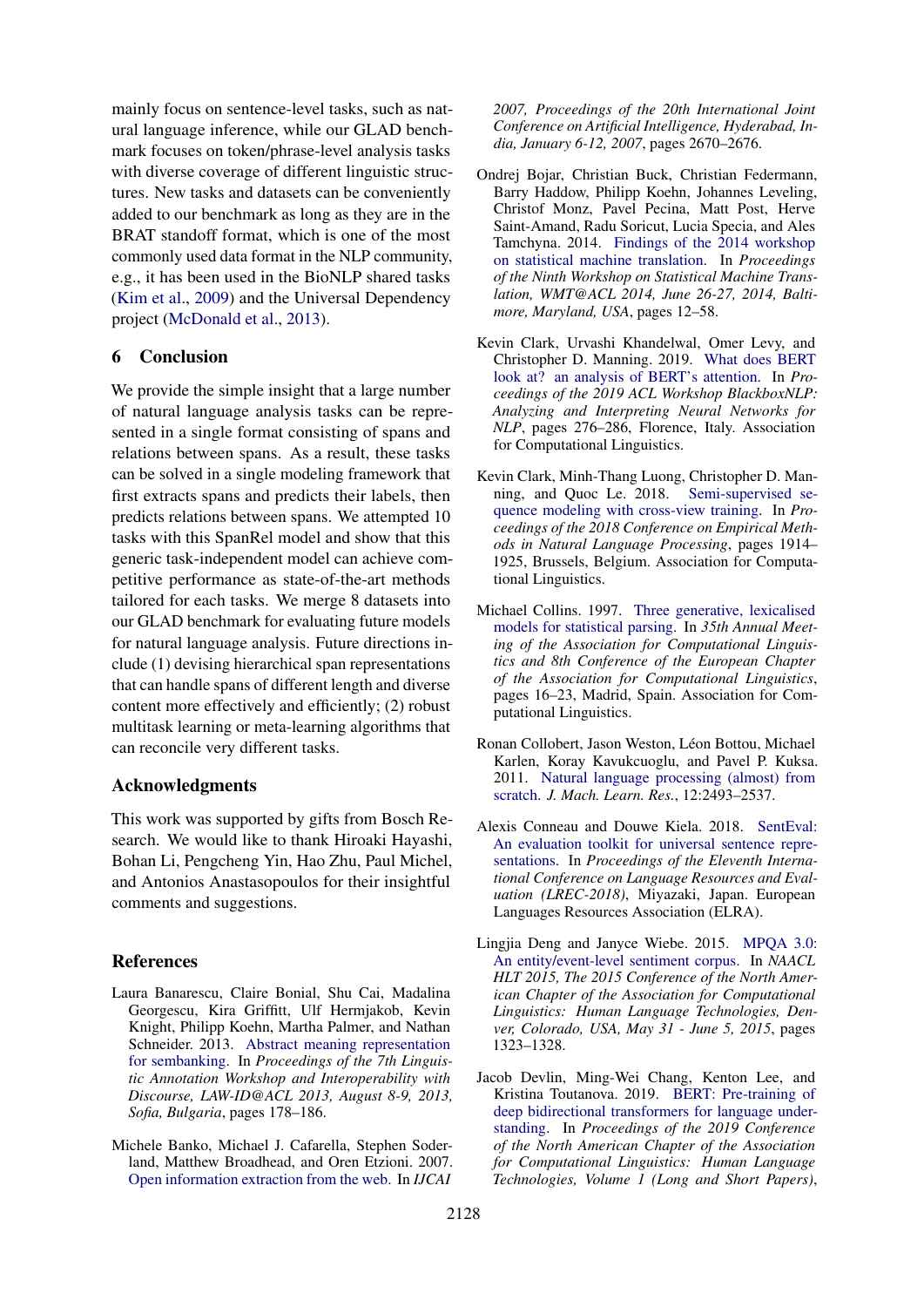mainly focus on sentence-level tasks, such as natural language inference, while our GLAD benchmark focuses on token/phrase-level analysis tasks with diverse coverage of different linguistic structures. New tasks and datasets can be conveniently added to our benchmark as long as they are in the BRAT standoff format, which is one of the most commonly used data format in the NLP community, e.g., it has been used in the BioNLP shared tasks [\(Kim et al.,](#page-9-17) [2009\)](#page-9-17) and the Universal Dependency project [\(McDonald et al.,](#page-10-12) [2013\)](#page-10-12).

## 6 Conclusion

We provide the simple insight that a large number of natural language analysis tasks can be represented in a single format consisting of spans and relations between spans. As a result, these tasks can be solved in a single modeling framework that first extracts spans and predicts their labels, then predicts relations between spans. We attempted 10 tasks with this SpanRel model and show that this generic task-independent model can achieve competitive performance as state-of-the-art methods tailored for each tasks. We merge 8 datasets into our GLAD benchmark for evaluating future models for natural language analysis. Future directions include (1) devising hierarchical span representations that can handle spans of different length and diverse content more effectively and efficiently; (2) robust multitask learning or meta-learning algorithms that can reconcile very different tasks.

#### Acknowledgments

This work was supported by gifts from Bosch Research. We would like to thank Hiroaki Hayashi, Bohan Li, Pengcheng Yin, Hao Zhu, Paul Michel, and Antonios Anastasopoulos for their insightful comments and suggestions.

## **References**

- <span id="page-8-4"></span>Laura Banarescu, Claire Bonial, Shu Cai, Madalina Georgescu, Kira Griffitt, Ulf Hermjakob, Kevin Knight, Philipp Koehn, Martha Palmer, and Nathan Schneider. 2013. [Abstract meaning representation](https://www.aclweb.org/anthology/W13-2322/) [for sembanking.](https://www.aclweb.org/anthology/W13-2322/) In *Proceedings of the 7th Linguistic Annotation Workshop and Interoperability with Discourse, LAW-ID@ACL 2013, August 8-9, 2013, Sofia, Bulgaria*, pages 178–186.
- <span id="page-8-9"></span>Michele Banko, Michael J. Cafarella, Stephen Soderland, Matthew Broadhead, and Oren Etzioni. 2007. [Open information extraction from the web.](http://ijcai.org/Proceedings/07/Papers/429.pdf) In *IJCAI*

*2007, Proceedings of the 20th International Joint Conference on Artificial Intelligence, Hyderabad, India, January 6-12, 2007*, pages 2670–2676.

- <span id="page-8-3"></span>Ondrej Bojar, Christian Buck, Christian Federmann, Barry Haddow, Philipp Koehn, Johannes Leveling, Christof Monz, Pavel Pecina, Matt Post, Herve Saint-Amand, Radu Soricut, Lucia Specia, and Ales Tamchyna. 2014. [Findings of the 2014 workshop](https://www.aclweb.org/anthology/W14-3302/) [on statistical machine translation.](https://www.aclweb.org/anthology/W14-3302/) In *Proceedings of the Ninth Workshop on Statistical Machine Translation, WMT@ACL 2014, June 26-27, 2014, Baltimore, Maryland, USA*, pages 12–58.
- <span id="page-8-6"></span>Kevin Clark, Urvashi Khandelwal, Omer Levy, and Christopher D. Manning. 2019. [What does BERT](https://doi.org/10.18653/v1/W19-4828) [look at? an analysis of BERT's attention.](https://doi.org/10.18653/v1/W19-4828) In *Proceedings of the 2019 ACL Workshop BlackboxNLP: Analyzing and Interpreting Neural Networks for NLP*, pages 276–286, Florence, Italy. Association for Computational Linguistics.
- <span id="page-8-1"></span>Kevin Clark, Minh-Thang Luong, Christopher D. Manning, and Quoc Le. 2018. [Semi-supervised se](https://doi.org/10.18653/v1/D18-1217)[quence modeling with cross-view training.](https://doi.org/10.18653/v1/D18-1217) In *Proceedings of the 2018 Conference on Empirical Methods in Natural Language Processing*, pages 1914– 1925, Brussels, Belgium. Association for Computational Linguistics.
- <span id="page-8-2"></span>Michael Collins. 1997. [Three generative, lexicalised](https://doi.org/10.3115/976909.979620) [models for statistical parsing.](https://doi.org/10.3115/976909.979620) In *35th Annual Meeting of the Association for Computational Linguistics and 8th Conference of the European Chapter of the Association for Computational Linguistics*, pages 16–23, Madrid, Spain. Association for Computational Linguistics.
- <span id="page-8-7"></span>Ronan Collobert, Jason Weston, Léon Bottou, Michael Karlen, Koray Kavukcuoglu, and Pavel P. Kuksa. 2011. [Natural language processing \(almost\) from](http://dl.acm.org/citation.cfm?id=2078186) [scratch.](http://dl.acm.org/citation.cfm?id=2078186) *J. Mach. Learn. Res.*, 12:2493–2537.
- <span id="page-8-8"></span>Alexis Conneau and Douwe Kiela. 2018. [SentEval:](https://www.aclweb.org/anthology/L18-1269) [An evaluation toolkit for universal sentence repre](https://www.aclweb.org/anthology/L18-1269)[sentations.](https://www.aclweb.org/anthology/L18-1269) In *Proceedings of the Eleventh International Conference on Language Resources and Evaluation (LREC-2018)*, Miyazaki, Japan. European Languages Resources Association (ELRA).
- <span id="page-8-5"></span>Lingjia Deng and Janyce Wiebe. 2015. [MPQA 3.0:](https://www.aclweb.org/anthology/N15-1146/) [An entity/event-level sentiment corpus.](https://www.aclweb.org/anthology/N15-1146/) In *NAACL HLT 2015, The 2015 Conference of the North American Chapter of the Association for Computational Linguistics: Human Language Technologies, Denver, Colorado, USA, May 31 - June 5, 2015*, pages 1323–1328.
- <span id="page-8-0"></span>Jacob Devlin, Ming-Wei Chang, Kenton Lee, and Kristina Toutanova. 2019. [BERT: Pre-training of](https://doi.org/10.18653/v1/N19-1423) [deep bidirectional transformers for language under](https://doi.org/10.18653/v1/N19-1423)[standing.](https://doi.org/10.18653/v1/N19-1423) In *Proceedings of the 2019 Conference of the North American Chapter of the Association for Computational Linguistics: Human Language Technologies, Volume 1 (Long and Short Papers)*,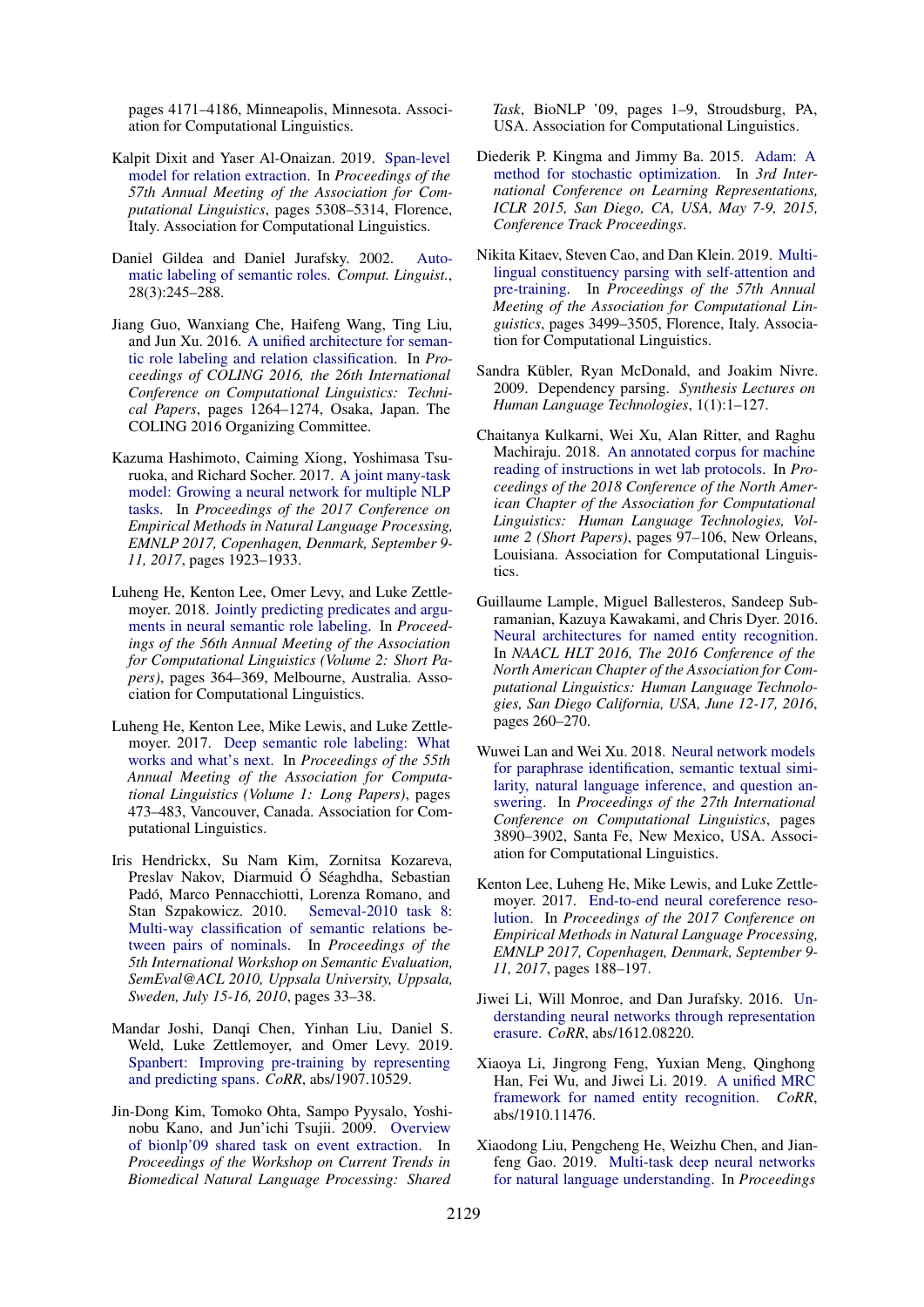pages 4171–4186, Minneapolis, Minnesota. Association for Computational Linguistics.

- <span id="page-9-3"></span>Kalpit Dixit and Yaser Al-Onaizan. 2019. [Span-level](https://www.aclweb.org/anthology/P19-1525) [model for relation extraction.](https://www.aclweb.org/anthology/P19-1525) In *Proceedings of the 57th Annual Meeting of the Association for Computational Linguistics*, pages 5308–5314, Florence, Italy. Association for Computational Linguistics.
- <span id="page-9-18"></span>Daniel Gildea and Daniel Jurafsky. 2002. [Auto](https://doi.org/10.1162/089120102760275983)[matic labeling of semantic roles.](https://doi.org/10.1162/089120102760275983) *Comput. Linguist.*, 28(3):245–288.
- <span id="page-9-2"></span>Jiang Guo, Wanxiang Che, Haifeng Wang, Ting Liu, and Jun Xu. 2016. [A unified architecture for seman](https://www.aclweb.org/anthology/C16-1120)[tic role labeling and relation classification.](https://www.aclweb.org/anthology/C16-1120) In *Proceedings of COLING 2016, the 26th International Conference on Computational Linguistics: Technical Papers*, pages 1264–1274, Osaka, Japan. The COLING 2016 Organizing Committee.
- <span id="page-9-4"></span>Kazuma Hashimoto, Caiming Xiong, Yoshimasa Tsuruoka, and Richard Socher. 2017. [A joint many-task](https://aclanthology.info/papers/D17-1206/d17-1206) [model: Growing a neural network for multiple NLP](https://aclanthology.info/papers/D17-1206/d17-1206) [tasks.](https://aclanthology.info/papers/D17-1206/d17-1206) In *Proceedings of the 2017 Conference on Empirical Methods in Natural Language Processing, EMNLP 2017, Copenhagen, Denmark, September 9- 11, 2017*, pages 1923–1933.
- <span id="page-9-8"></span>Luheng He, Kenton Lee, Omer Levy, and Luke Zettle-moyer. 2018. [Jointly predicting predicates and argu](https://doi.org/10.18653/v1/P18-2058)[ments in neural semantic role labeling.](https://doi.org/10.18653/v1/P18-2058) In *Proceedings of the 56th Annual Meeting of the Association for Computational Linguistics (Volume 2: Short Papers)*, pages 364–369, Melbourne, Australia. Association for Computational Linguistics.
- <span id="page-9-15"></span>Luheng He, Kenton Lee, Mike Lewis, and Luke Zettlemoyer. 2017. [Deep semantic role labeling: What](https://doi.org/10.18653/v1/P17-1044) [works and what's next.](https://doi.org/10.18653/v1/P17-1044) In *Proceedings of the 55th Annual Meeting of the Association for Computational Linguistics (Volume 1: Long Papers)*, pages 473–483, Vancouver, Canada. Association for Computational Linguistics.
- <span id="page-9-10"></span>Iris Hendrickx, Su Nam Kim, Zornitsa Kozareva, Preslav Nakov, Diarmuid Ó Séaghdha, Sebastian Padó, Marco Pennacchiotti, Lorenza Romano, and Stan Szpakowicz. 2010. Semeval-2010 task 8: Stan Szpakowicz. 2010. [Multi-way classification of semantic relations be](https://www.aclweb.org/anthology/S10-1006/)[tween pairs of nominals.](https://www.aclweb.org/anthology/S10-1006/) In *Proceedings of the 5th International Workshop on Semantic Evaluation, SemEval@ACL 2010, Uppsala University, Uppsala, Sweden, July 15-16, 2010*, pages 33–38.
- <span id="page-9-1"></span>Mandar Joshi, Danqi Chen, Yinhan Liu, Daniel S. Weld, Luke Zettlemoyer, and Omer Levy. 2019. [Spanbert: Improving pre-training by representing](http://arxiv.org/abs/1907.10529) [and predicting spans.](http://arxiv.org/abs/1907.10529) *CoRR*, abs/1907.10529.
- <span id="page-9-17"></span>Jin-Dong Kim, Tomoko Ohta, Sampo Pyysalo, Yoshinobu Kano, and Jun'ichi Tsujii. 2009. [Overview](http://dl.acm.org/citation.cfm?id=1572340.1572342) [of bionlp'09 shared task on event extraction.](http://dl.acm.org/citation.cfm?id=1572340.1572342) In *Proceedings of the Workshop on Current Trends in Biomedical Natural Language Processing: Shared*

*Task*, BioNLP '09, pages 1–9, Stroudsburg, PA, USA. Association for Computational Linguistics.

- <span id="page-9-12"></span>Diederik P. Kingma and Jimmy Ba. 2015. [Adam: A](http://arxiv.org/abs/1412.6980) [method for stochastic optimization.](http://arxiv.org/abs/1412.6980) In *3rd International Conference on Learning Representations, ICLR 2015, San Diego, CA, USA, May 7-9, 2015, Conference Track Proceedings*.
- <span id="page-9-11"></span>Nikita Kitaev, Steven Cao, and Dan Klein. 2019. [Multi](https://www.aclweb.org/anthology/P19-1340)[lingual constituency parsing with self-attention and](https://www.aclweb.org/anthology/P19-1340) [pre-training.](https://www.aclweb.org/anthology/P19-1340) In *Proceedings of the 57th Annual Meeting of the Association for Computational Linguistics*, pages 3499–3505, Florence, Italy. Association for Computational Linguistics.
- <span id="page-9-5"></span>Sandra Kübler, Ryan McDonald, and Joakim Nivre. 2009. Dependency parsing. *Synthesis Lectures on Human Language Technologies*, 1(1):1–127.
- <span id="page-9-9"></span>Chaitanya Kulkarni, Wei Xu, Alan Ritter, and Raghu Machiraju. 2018. [An annotated corpus for machine](https://doi.org/10.18653/v1/N18-2016) [reading of instructions in wet lab protocols.](https://doi.org/10.18653/v1/N18-2016) In *Proceedings of the 2018 Conference of the North American Chapter of the Association for Computational Linguistics: Human Language Technologies, Volume 2 (Short Papers)*, pages 97–106, New Orleans, Louisiana. Association for Computational Linguistics.
- <span id="page-9-14"></span>Guillaume Lample, Miguel Ballesteros, Sandeep Subramanian, Kazuya Kawakami, and Chris Dyer. 2016. [Neural architectures for named entity recognition.](https://www.aclweb.org/anthology/N16-1030/) In *NAACL HLT 2016, The 2016 Conference of the North American Chapter of the Association for Computational Linguistics: Human Language Technologies, San Diego California, USA, June 12-17, 2016*, pages 260–270.
- <span id="page-9-6"></span>Wuwei Lan and Wei Xu. 2018. [Neural network models](https://www.aclweb.org/anthology/C18-1328) [for paraphrase identification, semantic textual simi](https://www.aclweb.org/anthology/C18-1328)[larity, natural language inference, and question an](https://www.aclweb.org/anthology/C18-1328)[swering.](https://www.aclweb.org/anthology/C18-1328) In *Proceedings of the 27th International Conference on Computational Linguistics*, pages 3890–3902, Santa Fe, New Mexico, USA. Association for Computational Linguistics.
- <span id="page-9-0"></span>Kenton Lee, Luheng He, Mike Lewis, and Luke Zettlemoyer. 2017. [End-to-end neural coreference reso](https://aclanthology.info/papers/D17-1018/d17-1018)[lution.](https://aclanthology.info/papers/D17-1018/d17-1018) In *Proceedings of the 2017 Conference on Empirical Methods in Natural Language Processing, EMNLP 2017, Copenhagen, Denmark, September 9- 11, 2017*, pages 188–197.
- <span id="page-9-13"></span>Jiwei Li, Will Monroe, and Dan Jurafsky. 2016. [Un](http://arxiv.org/abs/1612.08220)[derstanding neural networks through representation](http://arxiv.org/abs/1612.08220) [erasure.](http://arxiv.org/abs/1612.08220) *CoRR*, abs/1612.08220.
- <span id="page-9-16"></span>Xiaoya Li, Jingrong Feng, Yuxian Meng, Qinghong Han, Fei Wu, and Jiwei Li. 2019. [A unified MRC](http://arxiv.org/abs/1910.11476) [framework for named entity recognition.](http://arxiv.org/abs/1910.11476) *CoRR*, abs/1910.11476.
- <span id="page-9-7"></span>Xiaodong Liu, Pengcheng He, Weizhu Chen, and Jianfeng Gao. 2019. [Multi-task deep neural networks](https://www.aclweb.org/anthology/P19-1441/) [for natural language understanding.](https://www.aclweb.org/anthology/P19-1441/) In *Proceedings*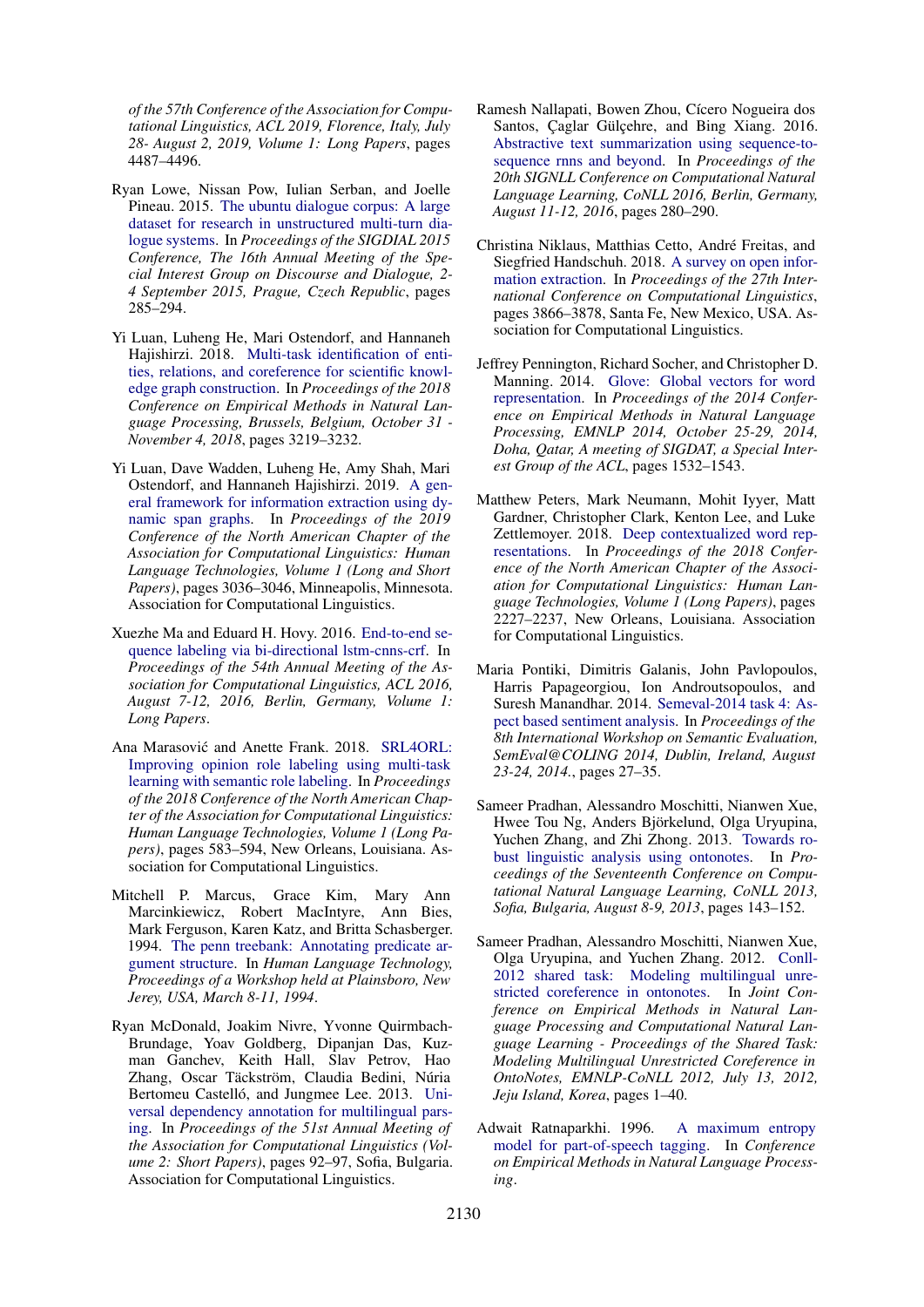*of the 57th Conference of the Association for Computational Linguistics, ACL 2019, Florence, Italy, July 28- August 2, 2019, Volume 1: Long Papers*, pages 4487–4496.

- <span id="page-10-5"></span>Ryan Lowe, Nissan Pow, Iulian Serban, and Joelle Pineau. 2015. [The ubuntu dialogue corpus: A large](https://www.aclweb.org/anthology/W15-4640/) [dataset for research in unstructured multi-turn dia](https://www.aclweb.org/anthology/W15-4640/)[logue systems.](https://www.aclweb.org/anthology/W15-4640/) In *Proceedings of the SIGDIAL 2015 Conference, The 16th Annual Meeting of the Special Interest Group on Discourse and Dialogue, 2- 4 September 2015, Prague, Czech Republic*, pages 285–294.
- <span id="page-10-1"></span>Yi Luan, Luheng He, Mari Ostendorf, and Hannaneh Hajishirzi. 2018. [Multi-task identification of enti](https://aclanthology.info/papers/D18-1360/d18-1360)[ties, relations, and coreference for scientific knowl](https://aclanthology.info/papers/D18-1360/d18-1360)[edge graph construction.](https://aclanthology.info/papers/D18-1360/d18-1360) In *Proceedings of the 2018 Conference on Empirical Methods in Natural Language Processing, Brussels, Belgium, October 31 - November 4, 2018*, pages 3219–3232.
- <span id="page-10-2"></span>Yi Luan, Dave Wadden, Luheng He, Amy Shah, Mari Ostendorf, and Hannaneh Hajishirzi. 2019. [A gen](https://doi.org/10.18653/v1/N19-1308)[eral framework for information extraction using dy](https://doi.org/10.18653/v1/N19-1308)[namic span graphs.](https://doi.org/10.18653/v1/N19-1308) In *Proceedings of the 2019 Conference of the North American Chapter of the Association for Computational Linguistics: Human Language Technologies, Volume 1 (Long and Short Papers)*, pages 3036–3046, Minneapolis, Minnesota. Association for Computational Linguistics.
- <span id="page-10-11"></span>Xuezhe Ma and Eduard H. Hovy. 2016. [End-to-end se](https://www.aclweb.org/anthology/P16-1101/)[quence labeling via bi-directional lstm-cnns-crf.](https://www.aclweb.org/anthology/P16-1101/) In *Proceedings of the 54th Annual Meeting of the Association for Computational Linguistics, ACL 2016, August 7-12, 2016, Berlin, Germany, Volume 1: Long Papers*.
- <span id="page-10-3"></span>Ana Marasović and Anette Frank. 2018. [SRL4ORL:](https://doi.org/10.18653/v1/N18-1054) [Improving opinion role labeling using multi-task](https://doi.org/10.18653/v1/N18-1054) [learning with semantic role labeling.](https://doi.org/10.18653/v1/N18-1054) In *Proceedings of the 2018 Conference of the North American Chapter of the Association for Computational Linguistics: Human Language Technologies, Volume 1 (Long Papers)*, pages 583–594, New Orleans, Louisiana. Association for Computational Linguistics.
- <span id="page-10-9"></span>Mitchell P. Marcus, Grace Kim, Mary Ann Marcinkiewicz, Robert MacIntyre, Ann Bies, Mark Ferguson, Karen Katz, and Britta Schasberger. 1994. [The penn treebank: Annotating predicate ar](https://www.aclweb.org/anthology/H94-1020/)[gument structure.](https://www.aclweb.org/anthology/H94-1020/) In *Human Language Technology, Proceedings of a Workshop held at Plainsboro, New Jerey, USA, March 8-11, 1994*.
- <span id="page-10-12"></span>Ryan McDonald, Joakim Nivre, Yvonne Quirmbach-Brundage, Yoav Goldberg, Dipanjan Das, Kuzman Ganchev, Keith Hall, Slav Petrov, Hao Zhang, Oscar Täckström, Claudia Bedini, Núria Bertomeu Castelló, and Jungmee Lee. 2013. [Uni](https://www.aclweb.org/anthology/P13-2017)[versal dependency annotation for multilingual pars](https://www.aclweb.org/anthology/P13-2017)[ing.](https://www.aclweb.org/anthology/P13-2017) In *Proceedings of the 51st Annual Meeting of the Association for Computational Linguistics (Volume 2: Short Papers)*, pages 92–97, Sofia, Bulgaria. Association for Computational Linguistics.
- <span id="page-10-6"></span>Ramesh Nallapati, Bowen Zhou, Cícero Nogueira dos Santos, Caglar Gülcehre, and Bing Xiang. 2016. [Abstractive text summarization using sequence-to](https://www.aclweb.org/anthology/K16-1028/)[sequence rnns and beyond.](https://www.aclweb.org/anthology/K16-1028/) In *Proceedings of the 20th SIGNLL Conference on Computational Natural Language Learning, CoNLL 2016, Berlin, Germany, August 11-12, 2016*, pages 280–290.
- <span id="page-10-14"></span>Christina Niklaus, Matthias Cetto, Andre Freitas, and ´ Siegfried Handschuh. 2018. [A survey on open infor](https://www.aclweb.org/anthology/C18-1326)[mation extraction.](https://www.aclweb.org/anthology/C18-1326) In *Proceedings of the 27th International Conference on Computational Linguistics*, pages 3866–3878, Santa Fe, New Mexico, USA. Association for Computational Linguistics.
- <span id="page-10-7"></span>Jeffrey Pennington, Richard Socher, and Christopher D. Manning. 2014. [Glove: Global vectors for word](https://www.aclweb.org/anthology/D14-1162/) [representation.](https://www.aclweb.org/anthology/D14-1162/) In *Proceedings of the 2014 Conference on Empirical Methods in Natural Language Processing, EMNLP 2014, October 25-29, 2014, Doha, Qatar, A meeting of SIGDAT, a Special Interest Group of the ACL*, pages 1532–1543.
- <span id="page-10-0"></span>Matthew Peters, Mark Neumann, Mohit Iyyer, Matt Gardner, Christopher Clark, Kenton Lee, and Luke Zettlemoyer. 2018. [Deep contextualized word rep](https://doi.org/10.18653/v1/N18-1202)[resentations.](https://doi.org/10.18653/v1/N18-1202) In *Proceedings of the 2018 Conference of the North American Chapter of the Association for Computational Linguistics: Human Language Technologies, Volume 1 (Long Papers)*, pages 2227–2237, New Orleans, Louisiana. Association for Computational Linguistics.
- <span id="page-10-10"></span>Maria Pontiki, Dimitris Galanis, John Pavlopoulos, Harris Papageorgiou, Ion Androutsopoulos, and Suresh Manandhar. 2014. [Semeval-2014 task 4: As](https://www.aclweb.org/anthology/S14-2004/)[pect based sentiment analysis.](https://www.aclweb.org/anthology/S14-2004/) In *Proceedings of the 8th International Workshop on Semantic Evaluation, SemEval@COLING 2014, Dublin, Ireland, August 23-24, 2014.*, pages 27–35.
- <span id="page-10-8"></span>Sameer Pradhan, Alessandro Moschitti, Nianwen Xue, Hwee Tou Ng, Anders Björkelund, Olga Uryupina, Yuchen Zhang, and Zhi Zhong. 2013. [Towards ro](https://www.aclweb.org/anthology/W13-3516/)[bust linguistic analysis using ontonotes.](https://www.aclweb.org/anthology/W13-3516/) In *Proceedings of the Seventeenth Conference on Computational Natural Language Learning, CoNLL 2013, Sofia, Bulgaria, August 8-9, 2013*, pages 143–152.
- <span id="page-10-4"></span>Sameer Pradhan, Alessandro Moschitti, Nianwen Xue, Olga Uryupina, and Yuchen Zhang. 2012. [Conll-](https://www.aclweb.org/anthology/W12-4501/)[2012 shared task: Modeling multilingual unre](https://www.aclweb.org/anthology/W12-4501/)[stricted coreference in ontonotes.](https://www.aclweb.org/anthology/W12-4501/) In *Joint Conference on Empirical Methods in Natural Language Processing and Computational Natural Language Learning - Proceedings of the Shared Task: Modeling Multilingual Unrestricted Coreference in OntoNotes, EMNLP-CoNLL 2012, July 13, 2012, Jeju Island, Korea*, pages 1–40.
- <span id="page-10-13"></span>Adwait Ratnaparkhi. 1996. [A maximum entropy](https://www.aclweb.org/anthology/W96-0213) [model for part-of-speech tagging.](https://www.aclweb.org/anthology/W96-0213) In *Conference on Empirical Methods in Natural Language Processing*.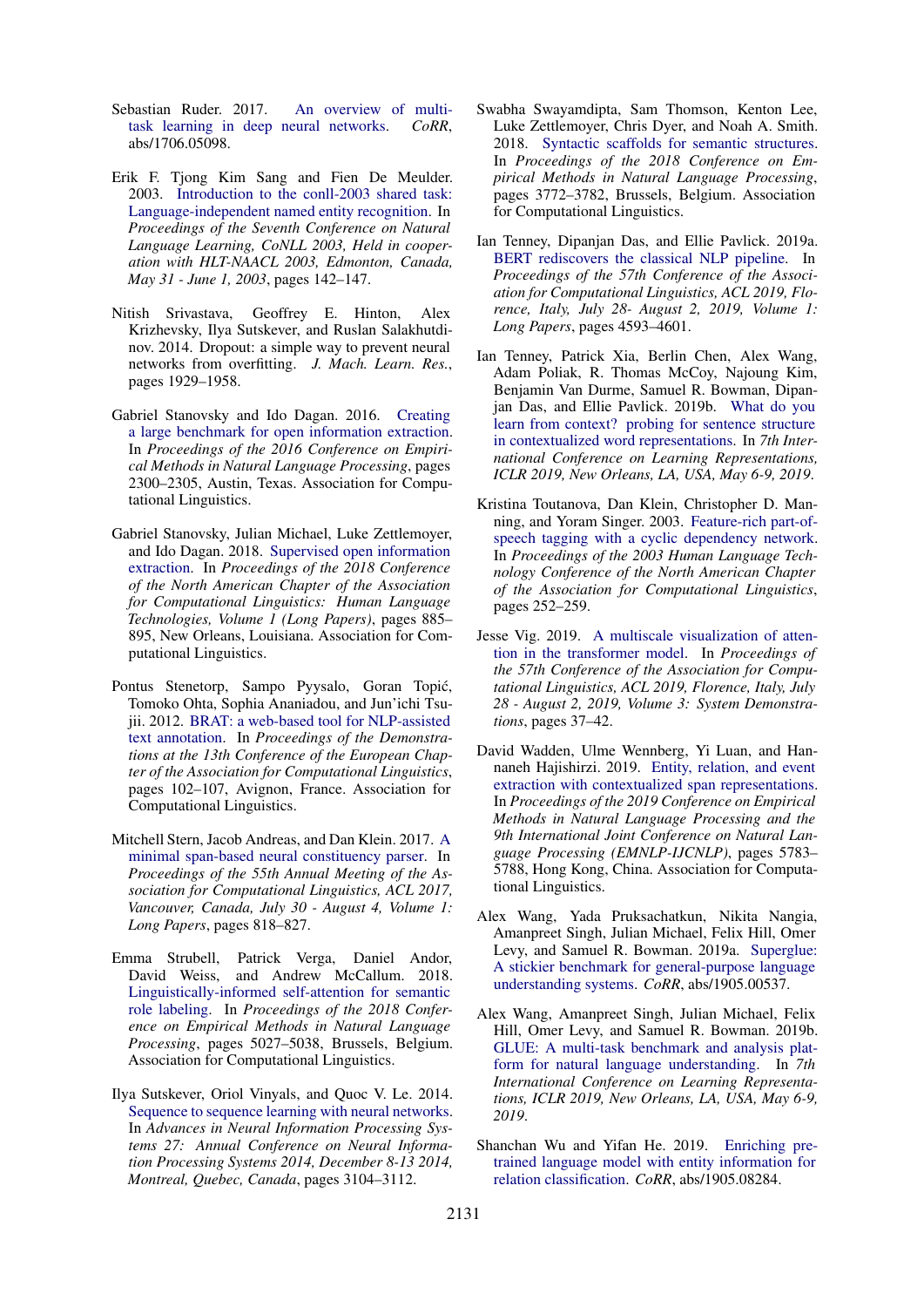- <span id="page-11-8"></span>Sebastian Ruder. 2017. [An overview of multi](http://arxiv.org/abs/1706.05098)[task learning in deep neural networks.](http://arxiv.org/abs/1706.05098) *CoRR*, abs/1706.05098.
- <span id="page-11-5"></span>Erik F. Tjong Kim Sang and Fien De Meulder. 2003. [Introduction to the conll-2003 shared task:](https://www.aclweb.org/anthology/W03-0419/) [Language-independent named entity recognition.](https://www.aclweb.org/anthology/W03-0419/) In *Proceedings of the Seventh Conference on Natural Language Learning, CoNLL 2003, Held in cooperation with HLT-NAACL 2003, Edmonton, Canada, May 31 - June 1, 2003*, pages 142–147.
- <span id="page-11-11"></span>Nitish Srivastava, Geoffrey E. Hinton, Alex Krizhevsky, Ilya Sutskever, and Ruslan Salakhutdinov. 2014. Dropout: a simple way to prevent neural networks from overfitting. *J. Mach. Learn. Res.*, pages 1929–1958.
- <span id="page-11-6"></span>Gabriel Stanovsky and Ido Dagan. 2016. [Creating](https://doi.org/10.18653/v1/D16-1252) [a large benchmark for open information extraction.](https://doi.org/10.18653/v1/D16-1252) In *Proceedings of the 2016 Conference on Empirical Methods in Natural Language Processing*, pages 2300–2305, Austin, Texas. Association for Computational Linguistics.
- <span id="page-11-10"></span>Gabriel Stanovsky, Julian Michael, Luke Zettlemoyer, and Ido Dagan. 2018. [Supervised open information](https://doi.org/10.18653/v1/N18-1081) [extraction.](https://doi.org/10.18653/v1/N18-1081) In *Proceedings of the 2018 Conference of the North American Chapter of the Association for Computational Linguistics: Human Language Technologies, Volume 1 (Long Papers)*, pages 885– 895, New Orleans, Louisiana. Association for Computational Linguistics.
- <span id="page-11-0"></span>Pontus Stenetorp, Sampo Pyysalo, Goran Topic,´ Tomoko Ohta, Sophia Ananiadou, and Jun'ichi Tsujii. 2012. [BRAT: a web-based tool for NLP-assisted](https://www.aclweb.org/anthology/E12-2021) [text annotation.](https://www.aclweb.org/anthology/E12-2021) In *Proceedings of the Demonstrations at the 13th Conference of the European Chapter of the Association for Computational Linguistics*, pages 102–107, Avignon, France. Association for Computational Linguistics.
- <span id="page-11-7"></span>Mitchell Stern, Jacob Andreas, and Dan Klein. 2017. [A](https://doi.org/10.18653/v1/P17-1076) [minimal span-based neural constituency parser.](https://doi.org/10.18653/v1/P17-1076) In *Proceedings of the 55th Annual Meeting of the Association for Computational Linguistics, ACL 2017, Vancouver, Canada, July 30 - August 4, Volume 1: Long Papers*, pages 818–827.
- <span id="page-11-2"></span>Emma Strubell, Patrick Verga, Daniel Andor, David Weiss, and Andrew McCallum. 2018. [Linguistically-informed self-attention for semantic](https://doi.org/10.18653/v1/D18-1548) [role labeling.](https://doi.org/10.18653/v1/D18-1548) In *Proceedings of the 2018 Conference on Empirical Methods in Natural Language Processing*, pages 5027–5038, Brussels, Belgium. Association for Computational Linguistics.
- <span id="page-11-13"></span>Ilya Sutskever, Oriol Vinyals, and Quoc V. Le. 2014. [Sequence to sequence learning with neural networks.](http://papers.nips.cc/paper/5346-sequence-to-sequence-learning-with-neural-networks) In *Advances in Neural Information Processing Systems 27: Annual Conference on Neural Information Processing Systems 2014, December 8-13 2014, Montreal, Quebec, Canada*, pages 3104–3112.
- <span id="page-11-1"></span>Swabha Swayamdipta, Sam Thomson, Kenton Lee, Luke Zettlemoyer, Chris Dyer, and Noah A. Smith. 2018. [Syntactic scaffolds for semantic structures.](https://doi.org/10.18653/v1/D18-1412) In *Proceedings of the 2018 Conference on Empirical Methods in Natural Language Processing*, pages 3772–3782, Brussels, Belgium. Association for Computational Linguistics.
- <span id="page-11-3"></span>Ian Tenney, Dipanjan Das, and Ellie Pavlick. 2019a. [BERT rediscovers the classical NLP pipeline.](https://www.aclweb.org/anthology/P19-1452/) In *Proceedings of the 57th Conference of the Association for Computational Linguistics, ACL 2019, Florence, Italy, July 28- August 2, 2019, Volume 1: Long Papers*, pages 4593–4601.
- <span id="page-11-4"></span>Ian Tenney, Patrick Xia, Berlin Chen, Alex Wang, Adam Poliak, R. Thomas McCoy, Najoung Kim, Benjamin Van Durme, Samuel R. Bowman, Dipanjan Das, and Ellie Pavlick. 2019b. [What do you](https://openreview.net/forum?id=SJzSgnRcKX) [learn from context? probing for sentence structure](https://openreview.net/forum?id=SJzSgnRcKX) [in contextualized word representations.](https://openreview.net/forum?id=SJzSgnRcKX) In *7th International Conference on Learning Representations, ICLR 2019, New Orleans, LA, USA, May 6-9, 2019*.
- <span id="page-11-17"></span>Kristina Toutanova, Dan Klein, Christopher D. Manning, and Yoram Singer. 2003. [Feature-rich part-of](https://www.aclweb.org/anthology/N03-1033)[speech tagging with a cyclic dependency network.](https://www.aclweb.org/anthology/N03-1033) In *Proceedings of the 2003 Human Language Technology Conference of the North American Chapter of the Association for Computational Linguistics*, pages 252–259.
- <span id="page-11-12"></span>Jesse Vig. 2019. [A multiscale visualization of atten](https://www.aclweb.org/anthology/P19-3007/)[tion in the transformer model.](https://www.aclweb.org/anthology/P19-3007/) In *Proceedings of the 57th Conference of the Association for Computational Linguistics, ACL 2019, Florence, Italy, July 28 - August 2, 2019, Volume 3: System Demonstrations*, pages 37–42.
- <span id="page-11-14"></span>David Wadden, Ulme Wennberg, Yi Luan, and Hannaneh Hajishirzi. 2019. [Entity, relation, and event](https://doi.org/10.18653/v1/D19-1585) [extraction with contextualized span representations.](https://doi.org/10.18653/v1/D19-1585) In *Proceedings of the 2019 Conference on Empirical Methods in Natural Language Processing and the 9th International Joint Conference on Natural Language Processing (EMNLP-IJCNLP)*, pages 5783– 5788, Hong Kong, China. Association for Computational Linguistics.
- <span id="page-11-16"></span>Alex Wang, Yada Pruksachatkun, Nikita Nangia, Amanpreet Singh, Julian Michael, Felix Hill, Omer Levy, and Samuel R. Bowman. 2019a. [Superglue:](http://arxiv.org/abs/1905.00537) [A stickier benchmark for general-purpose language](http://arxiv.org/abs/1905.00537) [understanding systems.](http://arxiv.org/abs/1905.00537) *CoRR*, abs/1905.00537.
- <span id="page-11-15"></span>Alex Wang, Amanpreet Singh, Julian Michael, Felix Hill, Omer Levy, and Samuel R. Bowman. 2019b. [GLUE: A multi-task benchmark and analysis plat](https://openreview.net/forum?id=rJ4km2R5t7)[form for natural language understanding.](https://openreview.net/forum?id=rJ4km2R5t7) In *7th International Conference on Learning Representations, ICLR 2019, New Orleans, LA, USA, May 6-9, 2019*.
- <span id="page-11-9"></span>Shanchan Wu and Yifan He. 2019. [Enriching pre](http://arxiv.org/abs/1905.08284)[trained language model with entity information for](http://arxiv.org/abs/1905.08284) [relation classification.](http://arxiv.org/abs/1905.08284) *CoRR*, abs/1905.08284.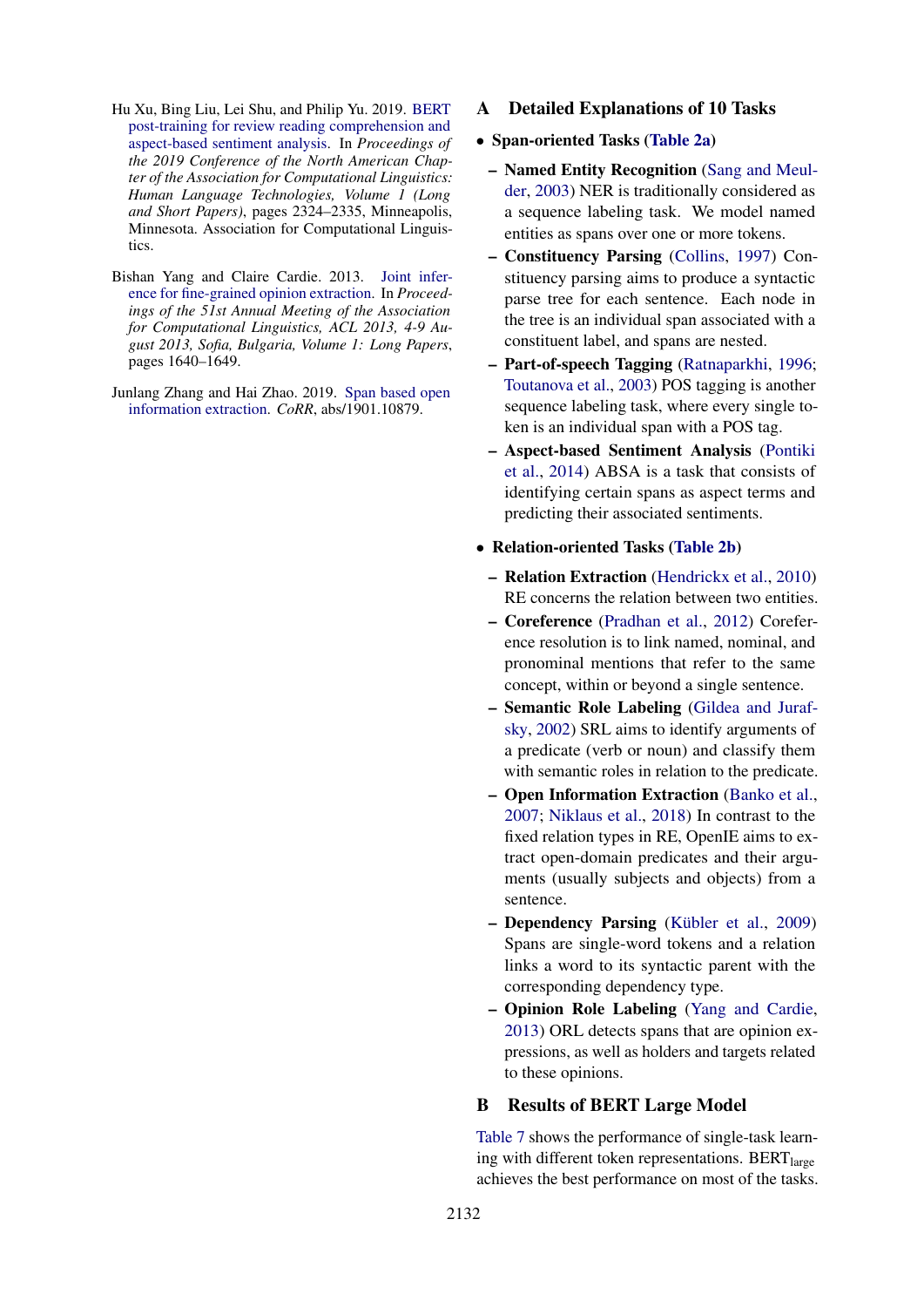- <span id="page-12-2"></span>Hu Xu, Bing Liu, Lei Shu, and Philip Yu. 2019. [BERT](https://doi.org/10.18653/v1/N19-1242) [post-training for review reading comprehension and](https://doi.org/10.18653/v1/N19-1242) [aspect-based sentiment analysis.](https://doi.org/10.18653/v1/N19-1242) In *Proceedings of the 2019 Conference of the North American Chapter of the Association for Computational Linguistics: Human Language Technologies, Volume 1 (Long and Short Papers)*, pages 2324–2335, Minneapolis, Minnesota. Association for Computational Linguistics.
- <span id="page-12-5"></span>Bishan Yang and Claire Cardie. 2013. [Joint infer](https://www.aclweb.org/anthology/P13-1161/)[ence for fine-grained opinion extraction.](https://www.aclweb.org/anthology/P13-1161/) In *Proceedings of the 51st Annual Meeting of the Association for Computational Linguistics, ACL 2013, 4-9 August 2013, Sofia, Bulgaria, Volume 1: Long Papers*, pages 1640–1649.
- <span id="page-12-1"></span>Junlang Zhang and Hai Zhao. 2019. [Span based open](http://arxiv.org/abs/1901.10879) [information extraction.](http://arxiv.org/abs/1901.10879) *CoRR*, abs/1901.10879.

<span id="page-12-0"></span>A Detailed Explanations of 10 Tasks

#### • Span-oriented Tasks [\(Table 2a\)](#page-2-0)

- Named Entity Recognition [\(Sang and Meul](#page-11-5)[der,](#page-11-5) [2003\)](#page-11-5) NER is traditionally considered as a sequence labeling task. We model named entities as spans over one or more tokens.
- Constituency Parsing [\(Collins,](#page-8-2) [1997\)](#page-8-2) Constituency parsing aims to produce a syntactic parse tree for each sentence. Each node in the tree is an individual span associated with a constituent label, and spans are nested.
- Part-of-speech Tagging [\(Ratnaparkhi,](#page-10-13) [1996;](#page-10-13) [Toutanova et al.,](#page-11-17) [2003\)](#page-11-17) POS tagging is another sequence labeling task, where every single token is an individual span with a POS tag.
- Aspect-based Sentiment Analysis [\(Pontiki](#page-10-10) [et al.,](#page-10-10) [2014\)](#page-10-10) ABSA is a task that consists of identifying certain spans as aspect terms and predicting their associated sentiments.
- Relation-oriented Tasks [\(Table 2b\)](#page-2-0)
	- Relation Extraction [\(Hendrickx et al.,](#page-9-10) [2010\)](#page-9-10) RE concerns the relation between two entities.
	- Coreference [\(Pradhan et al.,](#page-10-4) [2012\)](#page-10-4) Coreference resolution is to link named, nominal, and pronominal mentions that refer to the same concept, within or beyond a single sentence.
	- Semantic Role Labeling [\(Gildea and Juraf](#page-9-18)[sky,](#page-9-18) [2002\)](#page-9-18) SRL aims to identify arguments of a predicate (verb or noun) and classify them with semantic roles in relation to the predicate.
	- Open Information Extraction [\(Banko et al.,](#page-8-9) [2007;](#page-8-9) [Niklaus et al.,](#page-10-14) [2018\)](#page-10-14) In contrast to the fixed relation types in RE, OpenIE aims to extract open-domain predicates and their arguments (usually subjects and objects) from a sentence.
	- Dependency Parsing (Kübler et al., [2009\)](#page-9-5) Spans are single-word tokens and a relation links a word to its syntactic parent with the corresponding dependency type.
	- Opinion Role Labeling [\(Yang and Cardie,](#page-12-5) [2013\)](#page-12-5) ORL detects spans that are opinion expressions, as well as holders and targets related to these opinions.

#### <span id="page-12-3"></span>B Results of BERT Large Model

<span id="page-12-4"></span>[Table 7](#page-13-0) shows the performance of single-task learning with different token representations. BERT $_{\text{large}}$ achieves the best performance on most of the tasks.